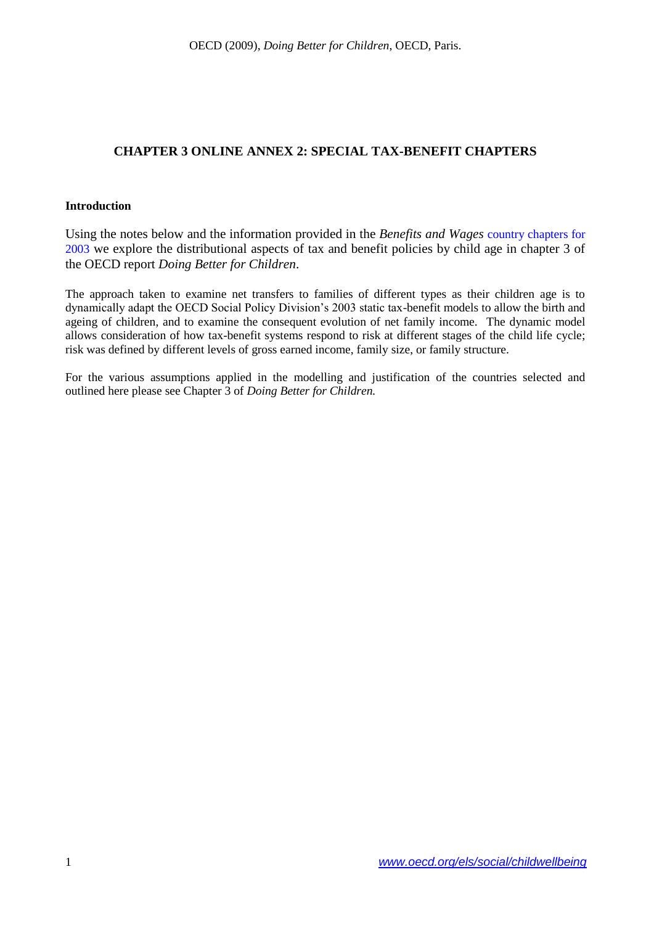#### **CHAPTER 3 ONLINE ANNEX 2: SPECIAL TAX-BENEFIT CHAPTERS**

#### **Introduction**

Using the notes below and the information provided in the *Benefits and Wages* [country chapters for](http://www.oecd.org/document/29/0,3343,en_2649_34637_39618653_1_1_1_1,00.html)  [2003](http://www.oecd.org/document/29/0,3343,en_2649_34637_39618653_1_1_1_1,00.html) we explore the distributional aspects of tax and benefit policies by child age in chapter 3 of the OECD report *Doing Better for Children*.

The approach taken to examine net transfers to families of different types as their children age is to dynamically adapt the OECD Social Policy Division's 2003 static tax-benefit models to allow the birth and ageing of children, and to examine the consequent evolution of net family income. The dynamic model allows consideration of how tax-benefit systems respond to risk at different stages of the child life cycle; risk was defined by different levels of gross earned income, family size, or family structure.

For the various assumptions applied in the modelling and justification of the countries selected and outlined here please see Chapter 3 of *Doing Better for Children.*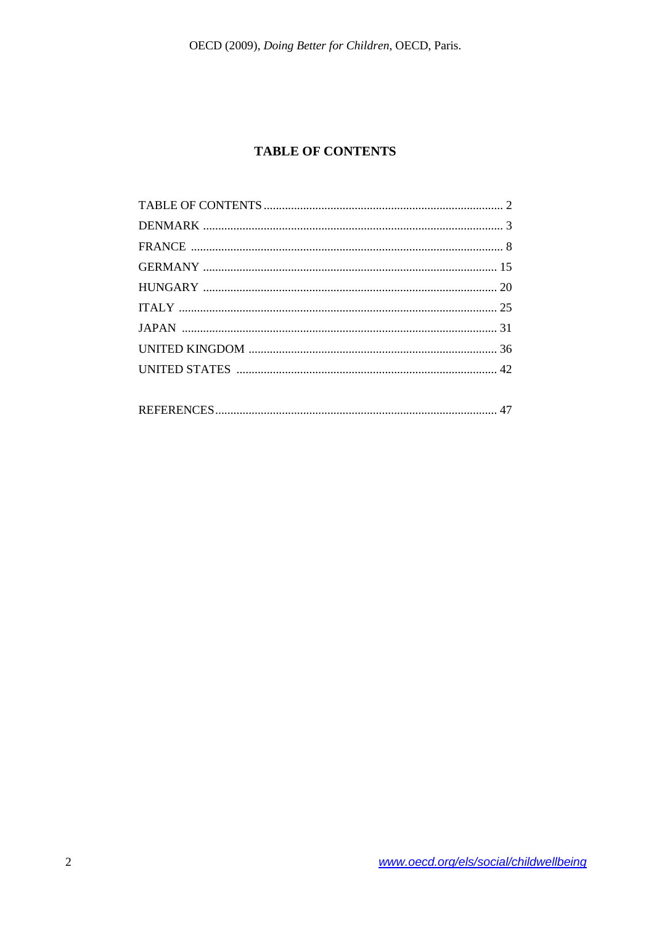### **TABLE OF CONTENTS**

<span id="page-1-0"></span>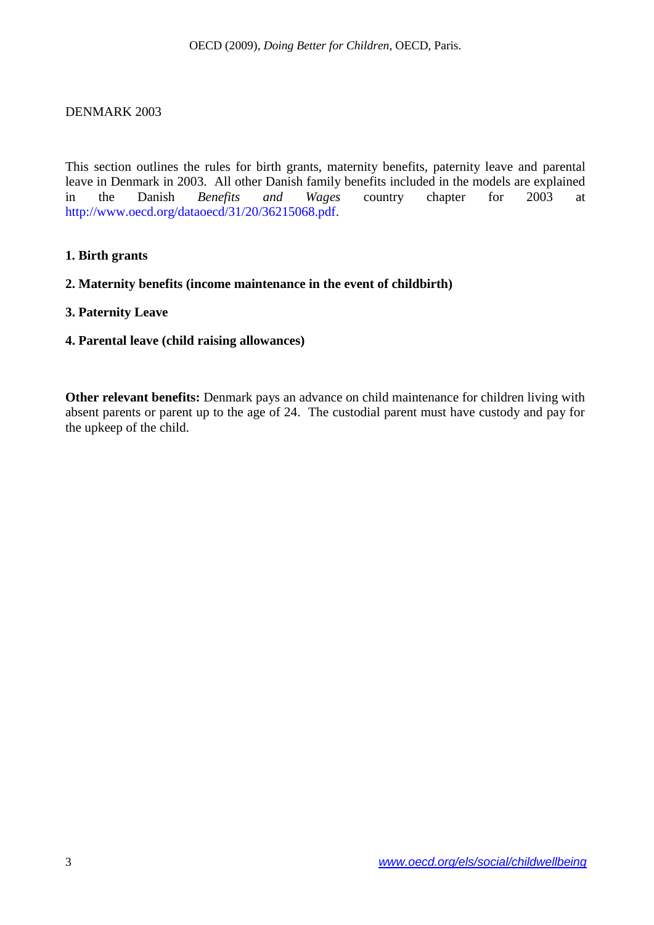#### <span id="page-2-0"></span>DENMARK 2003

This section outlines the rules for birth grants, maternity benefits, paternity leave and parental leave in Denmark in 2003. All other Danish family benefits included in the models are explained in the Danish *Benefits and Wages* country chapter for 2003 at [http://www.oecd.org/dataoecd/31/20/36215068.pdf.](http://www.oecd.org/dataoecd/31/20/36215068.pdf)

#### **1. Birth grants**

#### **2. Maternity benefits (income maintenance in the event of childbirth)**

#### **3. Paternity Leave**

#### **4. Parental leave (child raising allowances)**

**Other relevant benefits:** Denmark pays an advance on child maintenance for children living with absent parents or parent up to the age of 24. The custodial parent must have custody and pay for the upkeep of the child.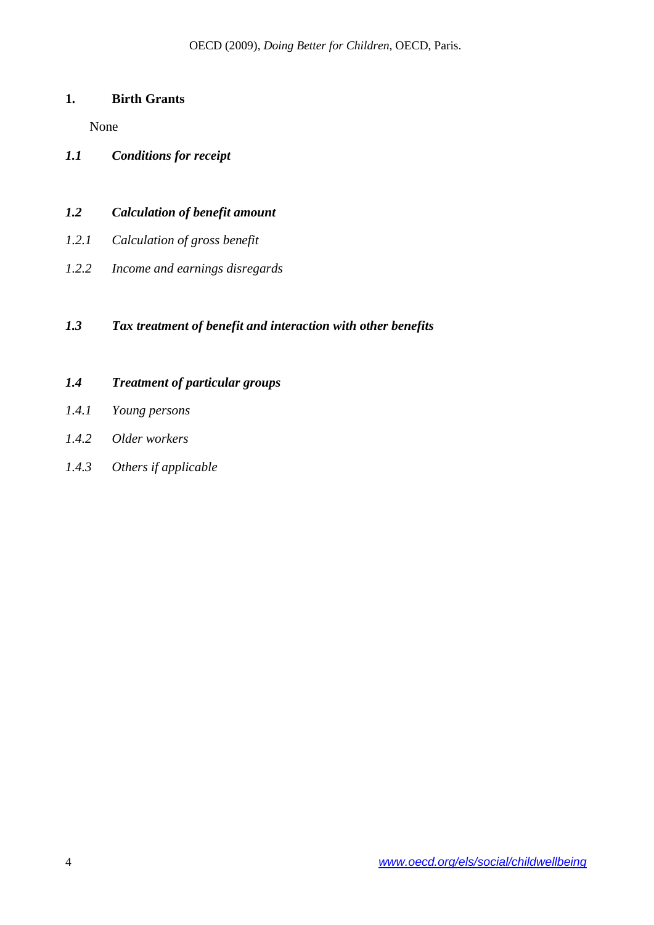# **1. Birth Grants**

None

*1.1 Conditions for receipt*

# *1.2 Calculation of benefit amount*

- *1.2.1 Calculation of gross benefit*
- *1.2.2 Income and earnings disregards*

# *1.3 Tax treatment of benefit and interaction with other benefits*

# *1.4 Treatment of particular groups*

- *1.4.1 Young persons*
- *1.4.2 Older workers*
- *1.4.3 Others if applicable*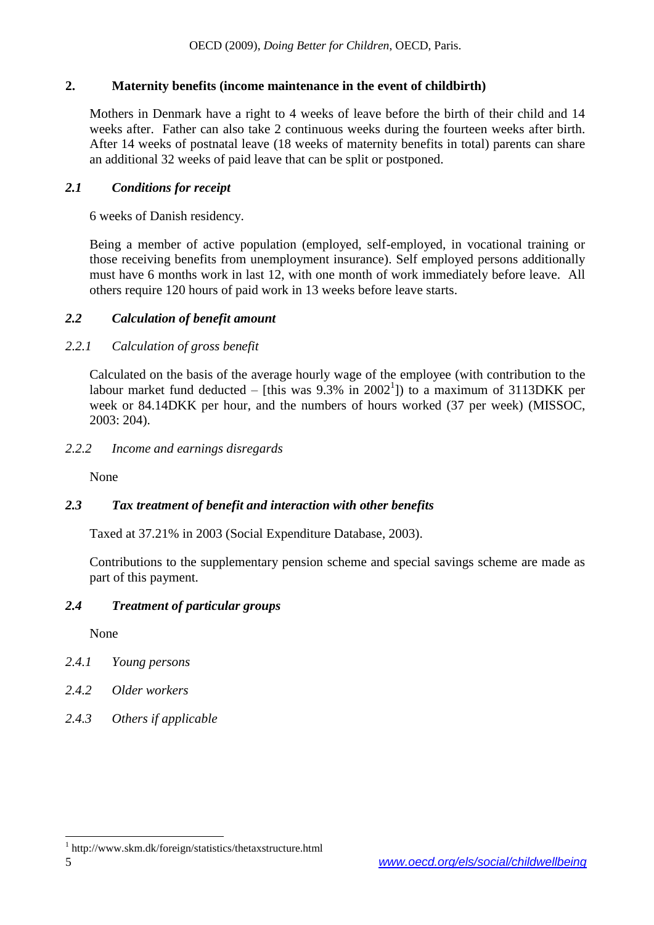### **2. Maternity benefits (income maintenance in the event of childbirth)**

Mothers in Denmark have a right to 4 weeks of leave before the birth of their child and 14 weeks after. Father can also take 2 continuous weeks during the fourteen weeks after birth. After 14 weeks of postnatal leave (18 weeks of maternity benefits in total) parents can share an additional 32 weeks of paid leave that can be split or postponed.

#### *2.1 Conditions for receipt*

6 weeks of Danish residency.

Being a member of active population (employed, self-employed, in vocational training or those receiving benefits from unemployment insurance). Self employed persons additionally must have 6 months work in last 12, with one month of work immediately before leave. All others require 120 hours of paid work in 13 weeks before leave starts.

### *2.2 Calculation of benefit amount*

### *2.2.1 Calculation of gross benefit*

Calculated on the basis of the average hourly wage of the employee (with contribution to the labour market fund deducted  $-$  [this was 9.3% in 2002<sup>1</sup>]) to a maximum of 3113DKK per week or 84.14DKK per hour, and the numbers of hours worked (37 per week) (MISSOC, 2003: 204).

*2.2.2 Income and earnings disregards*

None

### *2.3 Tax treatment of benefit and interaction with other benefits*

Taxed at 37.21% in 2003 (Social Expenditure Database, 2003).

Contributions to the supplementary pension scheme and special savings scheme are made as part of this payment.

### *2.4 Treatment of particular groups*

None

- *2.4.1 Young persons*
- *2.4.2 Older workers*
- *2.4.3 Others if applicable*

 $\overline{a}$ 

<sup>1</sup> http://www.skm.dk/foreign/statistics/thetaxstructure.html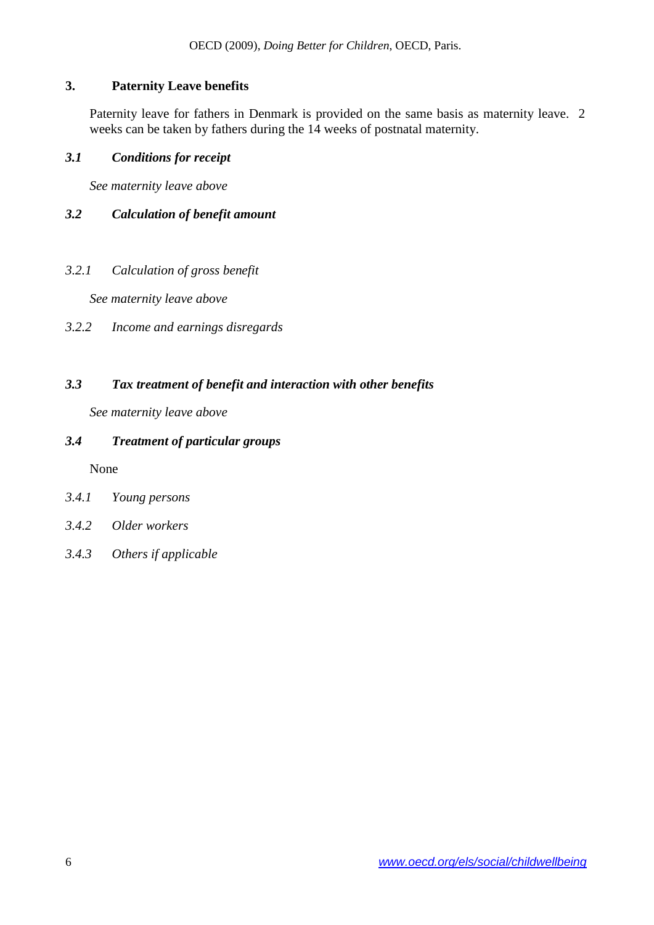# **3. Paternity Leave benefits**

Paternity leave for fathers in Denmark is provided on the same basis as maternity leave. 2 weeks can be taken by fathers during the 14 weeks of postnatal maternity.

### *3.1 Conditions for receipt*

*See maternity leave above*

# *3.2 Calculation of benefit amount*

*3.2.1 Calculation of gross benefit*

*See maternity leave above*

*3.2.2 Income and earnings disregards*

# *3.3 Tax treatment of benefit and interaction with other benefits*

*See maternity leave above*

# *3.4 Treatment of particular groups*

None

- *3.4.1 Young persons*
- *3.4.2 Older workers*
- *3.4.3 Others if applicable*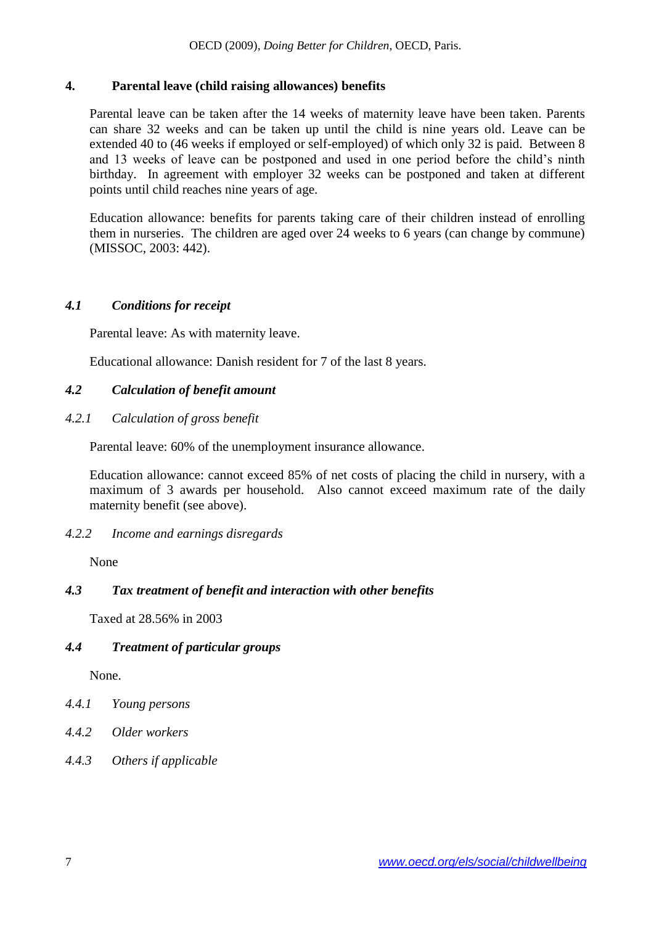### **4. Parental leave (child raising allowances) benefits**

Parental leave can be taken after the 14 weeks of maternity leave have been taken. Parents can share 32 weeks and can be taken up until the child is nine years old. Leave can be extended 40 to (46 weeks if employed or self-employed) of which only 32 is paid. Between 8 and 13 weeks of leave can be postponed and used in one period before the child's ninth birthday. In agreement with employer 32 weeks can be postponed and taken at different points until child reaches nine years of age.

Education allowance: benefits for parents taking care of their children instead of enrolling them in nurseries. The children are aged over 24 weeks to 6 years (can change by commune) (MISSOC, 2003: 442).

### *4.1 Conditions for receipt*

Parental leave: As with maternity leave.

Educational allowance: Danish resident for 7 of the last 8 years.

# *4.2 Calculation of benefit amount*

### *4.2.1 Calculation of gross benefit*

Parental leave: 60% of the unemployment insurance allowance.

Education allowance: cannot exceed 85% of net costs of placing the child in nursery, with a maximum of 3 awards per household. Also cannot exceed maximum rate of the daily maternity benefit (see above).

### *4.2.2 Income and earnings disregards*

None

### *4.3 Tax treatment of benefit and interaction with other benefits*

Taxed at 28.56% in 2003

### *4.4 Treatment of particular groups*

None.

- *4.4.1 Young persons*
- *4.4.2 Older workers*
- *4.4.3 Others if applicable*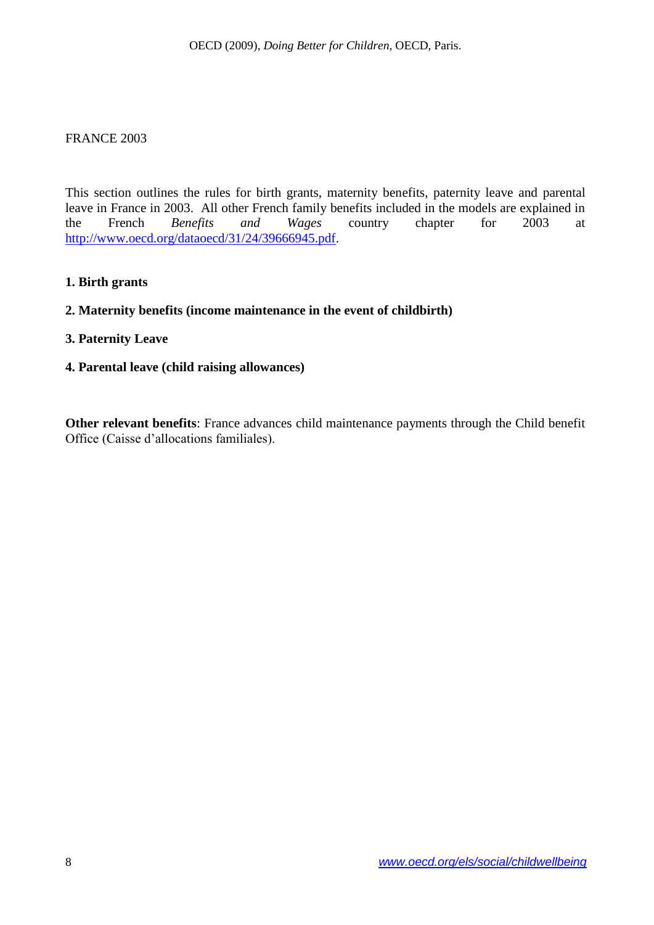#### <span id="page-7-0"></span>FRANCE 2003

This section outlines the rules for birth grants, maternity benefits, paternity leave and parental leave in France in 2003. All other French family benefits included in the models are explained in the French *Benefits and Wages* country chapter for 2003 at [http://www.oecd.org/dataoecd/31/24/39666945.pdf.](http://www.oecd.org/dataoecd/31/24/39666945.pdf)

#### **1. Birth grants**

#### **2. Maternity benefits (income maintenance in the event of childbirth)**

#### **3. Paternity Leave**

**4. Parental leave (child raising allowances)**

**Other relevant benefits**: France advances child maintenance payments through the Child benefit Office (Caisse d'allocations familiales).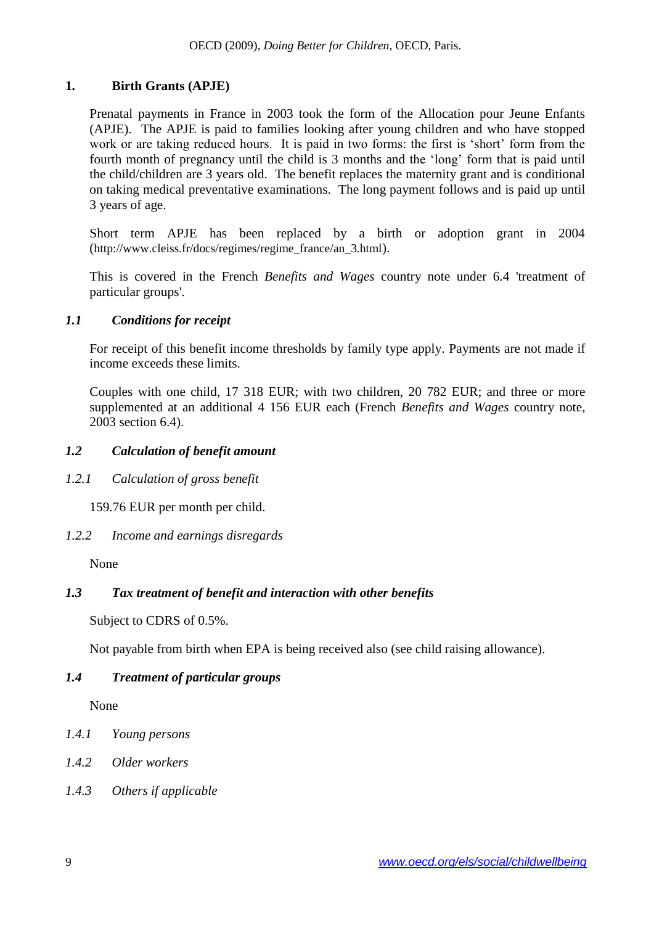### **1. Birth Grants (APJE)**

Prenatal payments in France in 2003 took the form of the Allocation pour Jeune Enfants (APJE). The APJE is paid to families looking after young children and who have stopped work or are taking reduced hours. It is paid in two forms: the first is 'short' form from the fourth month of pregnancy until the child is 3 months and the 'long' form that is paid until the child/children are 3 years old. The benefit replaces the maternity grant and is conditional on taking medical preventative examinations. The long payment follows and is paid up until 3 years of age.

Short term APJE has been replaced by a birth or adoption grant in 2004 ([http://www.cleiss.fr/docs/regimes/regime\\_france/an\\_3.html](http://www.cleiss.fr/docs/regimes/regime_france/an_3.html)).

This is covered in the French *Benefits and Wages* country note under 6.4 'treatment of particular groups'.

#### *1.1 Conditions for receipt*

For receipt of this benefit income thresholds by family type apply. Payments are not made if income exceeds these limits.

Couples with one child, 17 318 EUR; with two children, 20 782 EUR; and three or more supplemented at an additional 4 156 EUR each (French *Benefits and Wages* country note, 2003 section 6.4).

### *1.2 Calculation of benefit amount*

*1.2.1 Calculation of gross benefit*

159.76 EUR per month per child.

*1.2.2 Income and earnings disregards*

None

### *1.3 Tax treatment of benefit and interaction with other benefits*

Subject to CDRS of 0.5%.

Not payable from birth when EPA is being received also (see child raising allowance).

### *1.4 Treatment of particular groups*

None

- *1.4.1 Young persons*
- *1.4.2 Older workers*
- *1.4.3 Others if applicable*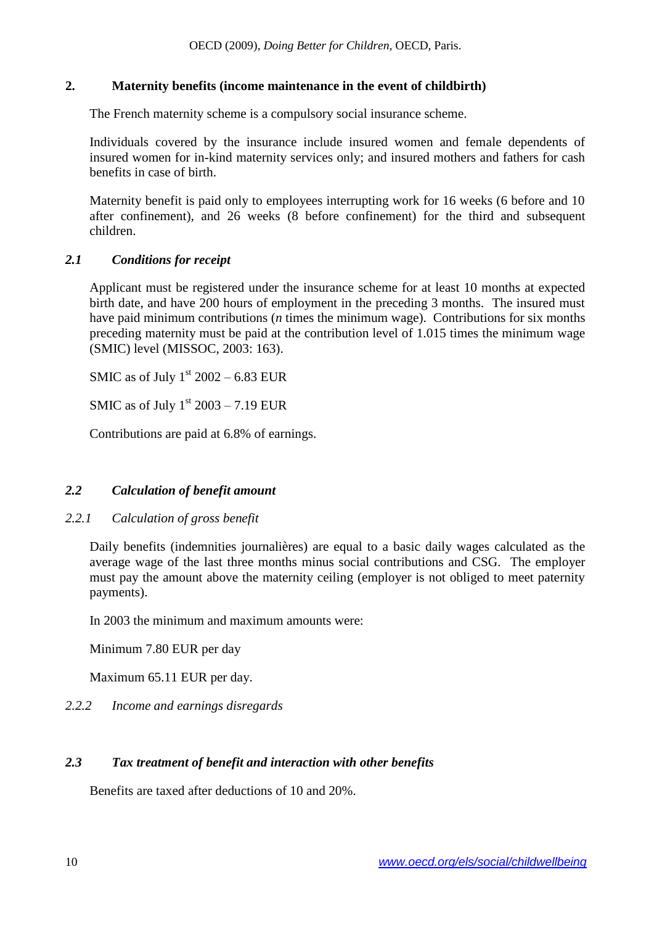### **2. Maternity benefits (income maintenance in the event of childbirth)**

The French maternity scheme is a compulsory social insurance scheme.

Individuals covered by the insurance include insured women and female dependents of insured women for in-kind maternity services only; and insured mothers and fathers for cash benefits in case of birth.

Maternity benefit is paid only to employees interrupting work for 16 weeks (6 before and 10 after confinement), and 26 weeks (8 before confinement) for the third and subsequent children.

### *2.1 Conditions for receipt*

Applicant must be registered under the insurance scheme for at least 10 months at expected birth date, and have 200 hours of employment in the preceding 3 months. The insured must have paid minimum contributions (*n* times the minimum wage). Contributions for six months preceding maternity must be paid at the contribution level of 1.015 times the minimum wage (SMIC) level (MISSOC, 2003: 163).

SMIC as of July  $1<sup>st</sup> 2002 - 6.83$  EUR

SMIC as of July  $1<sup>st</sup> 2003 - 7.19$  EUR

Contributions are paid at 6.8% of earnings.

### *2.2 Calculation of benefit amount*

#### *2.2.1 Calculation of gross benefit*

Daily benefits (indemnities journalières) are equal to a basic daily wages calculated as the average wage of the last three months minus social contributions and CSG. The employer must pay the amount above the maternity ceiling (employer is not obliged to meet paternity payments).

In 2003 the minimum and maximum amounts were:

Minimum 7.80 EUR per day

Maximum 65.11 EUR per day.

### *2.2.2 Income and earnings disregards*

### *2.3 Tax treatment of benefit and interaction with other benefits*

Benefits are taxed after deductions of 10 and 20%.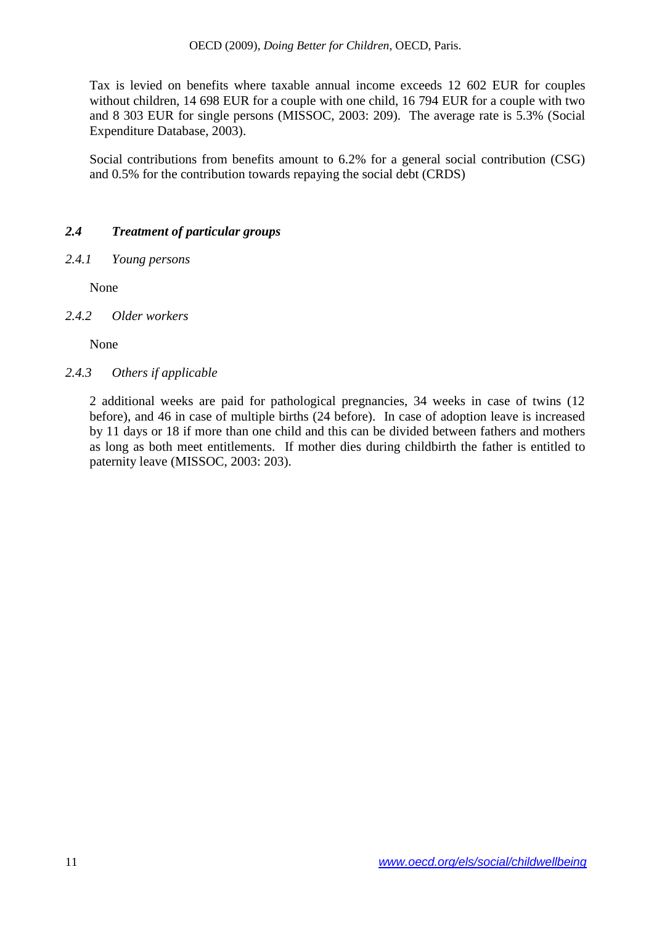Tax is levied on benefits where taxable annual income exceeds 12 602 EUR for couples without children, 14 698 EUR for a couple with one child, 16 794 EUR for a couple with two and 8 303 EUR for single persons (MISSOC, 2003: 209). The average rate is 5.3% (Social Expenditure Database, 2003).

Social contributions from benefits amount to 6.2% for a general social contribution (CSG) and 0.5% for the contribution towards repaying the social debt (CRDS)

# *2.4 Treatment of particular groups*

*2.4.1 Young persons*

None

*2.4.2 Older workers*

None

*2.4.3 Others if applicable*

2 additional weeks are paid for pathological pregnancies, 34 weeks in case of twins (12 before), and 46 in case of multiple births (24 before). In case of adoption leave is increased by 11 days or 18 if more than one child and this can be divided between fathers and mothers as long as both meet entitlements. If mother dies during childbirth the father is entitled to paternity leave (MISSOC, 2003: 203).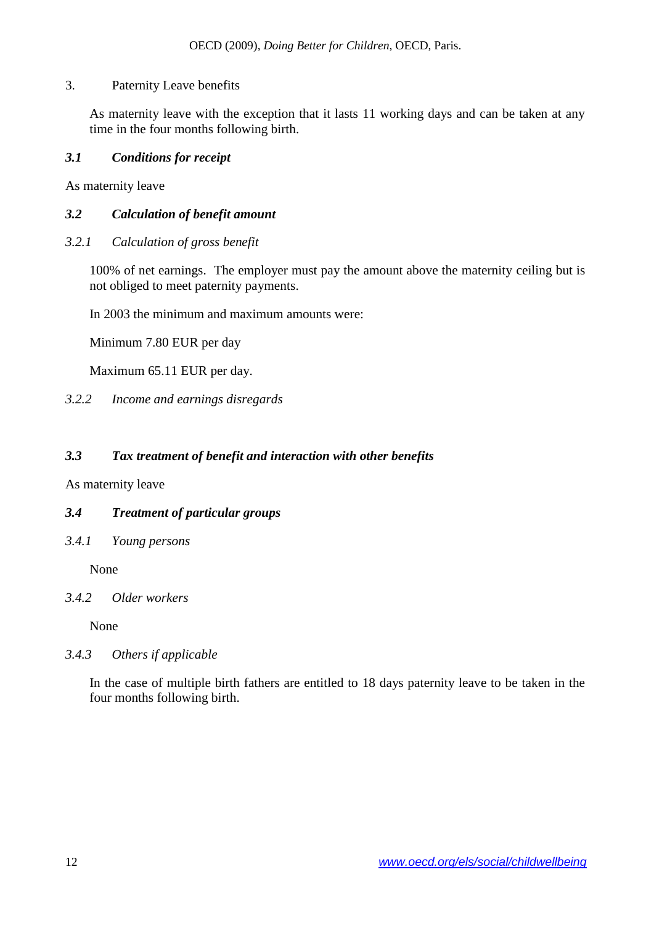### 3. Paternity Leave benefits

As maternity leave with the exception that it lasts 11 working days and can be taken at any time in the four months following birth.

#### *3.1 Conditions for receipt*

As maternity leave

#### *3.2 Calculation of benefit amount*

*3.2.1 Calculation of gross benefit*

100% of net earnings. The employer must pay the amount above the maternity ceiling but is not obliged to meet paternity payments.

In 2003 the minimum and maximum amounts were:

Minimum 7.80 EUR per day

Maximum 65.11 EUR per day.

#### *3.2.2 Income and earnings disregards*

### *3.3 Tax treatment of benefit and interaction with other benefits*

As maternity leave

### *3.4 Treatment of particular groups*

*3.4.1 Young persons*

None

#### *3.4.2 Older workers*

None

#### *3.4.3 Others if applicable*

In the case of multiple birth fathers are entitled to 18 days paternity leave to be taken in the four months following birth.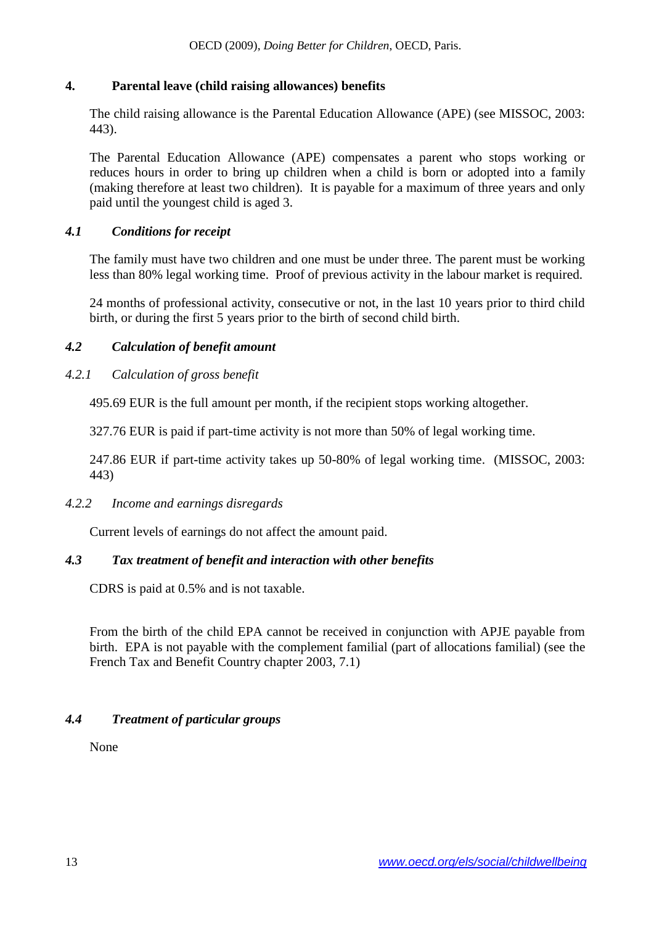### **4. Parental leave (child raising allowances) benefits**

The child raising allowance is the Parental Education Allowance (APE) (see MISSOC, 2003: 443).

The Parental Education Allowance (APE) compensates a parent who stops working or reduces hours in order to bring up children when a child is born or adopted into a family (making therefore at least two children). It is payable for a maximum of three years and only paid until the youngest child is aged 3.

### *4.1 Conditions for receipt*

The family must have two children and one must be under three. The parent must be working less than 80% legal working time. Proof of previous activity in the labour market is required.

24 months of professional activity, consecutive or not, in the last 10 years prior to third child birth, or during the first 5 years prior to the birth of second child birth.

### *4.2 Calculation of benefit amount*

# *4.2.1 Calculation of gross benefit*

495.69 EUR is the full amount per month, if the recipient stops working altogether.

327.76 EUR is paid if part-time activity is not more than 50% of legal working time.

247.86 EUR if part-time activity takes up 50-80% of legal working time. (MISSOC, 2003: 443)

### *4.2.2 Income and earnings disregards*

Current levels of earnings do not affect the amount paid.

### *4.3 Tax treatment of benefit and interaction with other benefits*

CDRS is paid at 0.5% and is not taxable.

From the birth of the child EPA cannot be received in conjunction with APJE payable from birth. EPA is not payable with the complement familial (part of allocations familial) (see the French Tax and Benefit Country chapter 2003, 7.1)

### *4.4 Treatment of particular groups*

None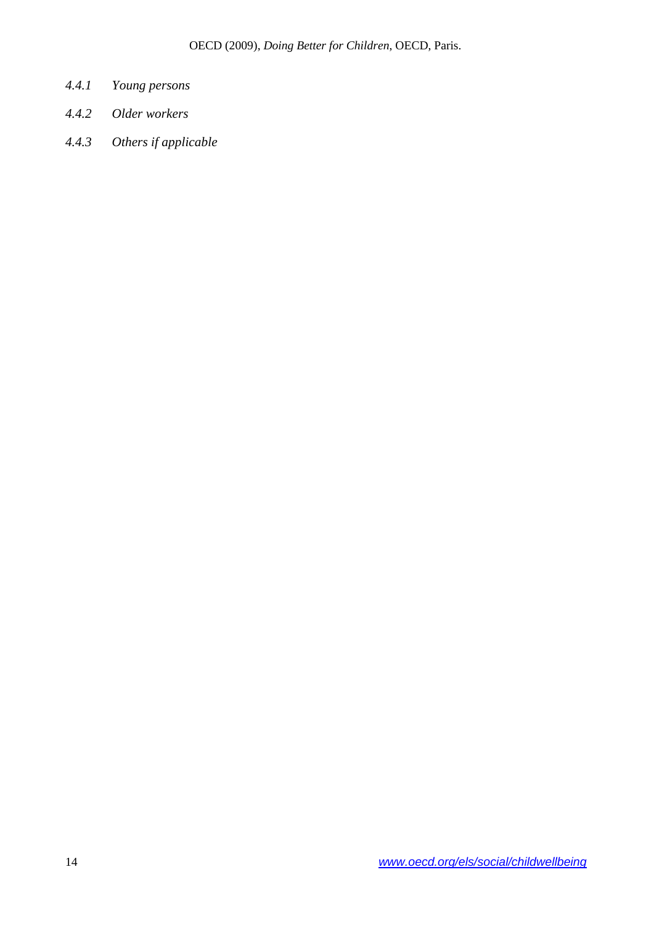- *4.4.1 Young persons*
- *4.4.2 Older workers*
- *4.4.3 Others if applicable*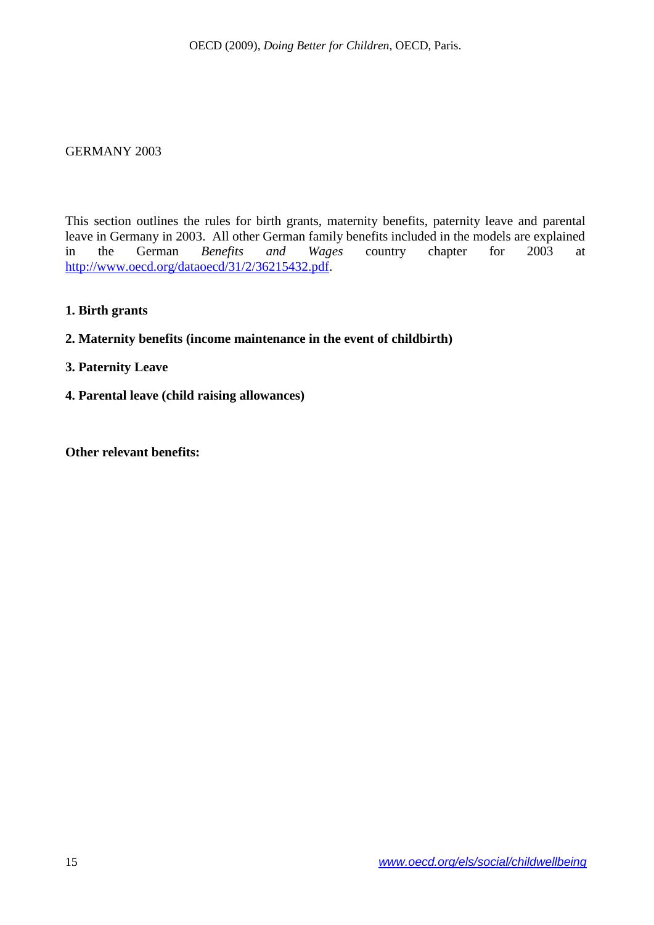#### <span id="page-14-0"></span>GERMANY 2003

This section outlines the rules for birth grants, maternity benefits, paternity leave and parental leave in Germany in 2003. All other German family benefits included in the models are explained<br>in the German *Benefits and Wages* country chapter for 2003 at in the German *Benefits and Wages* country chapter for 2003 at [http://www.oecd.org/dataoecd/31/2/36215432.pdf.](http://www.oecd.org/dataoecd/31/2/36215432.pdf)

**1. Birth grants**

#### **2. Maternity benefits (income maintenance in the event of childbirth)**

#### **3. Paternity Leave**

**4. Parental leave (child raising allowances)**

**Other relevant benefits:**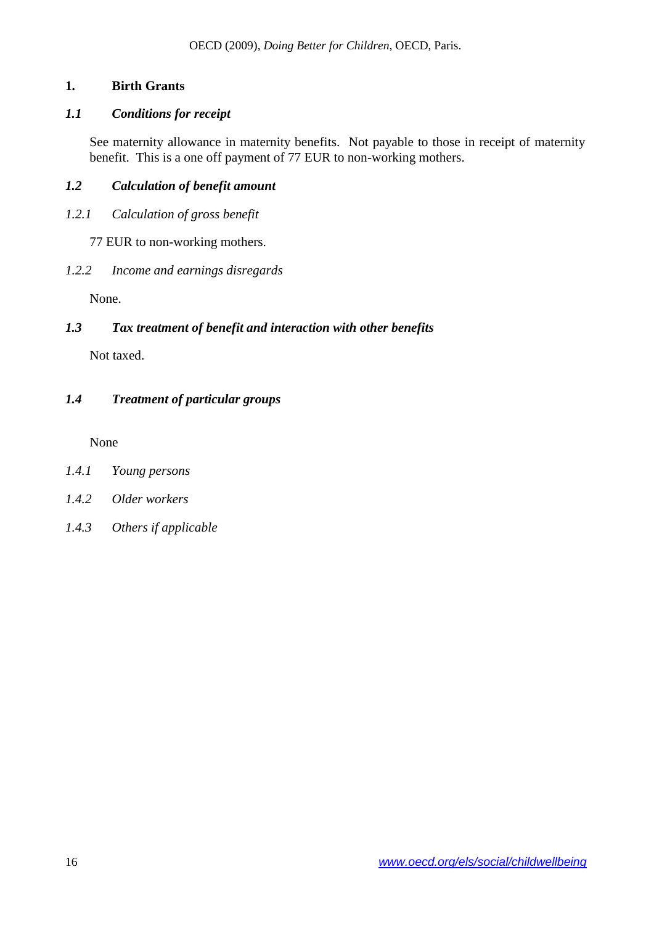# **1. Birth Grants**

### *1.1 Conditions for receipt*

See maternity allowance in maternity benefits. Not payable to those in receipt of maternity benefit. This is a one off payment of 77 EUR to non-working mothers.

### *1.2 Calculation of benefit amount*

*1.2.1 Calculation of gross benefit*

77 EUR to non-working mothers.

### *1.2.2 Income and earnings disregards*

None.

### *1.3 Tax treatment of benefit and interaction with other benefits*

Not taxed.

# *1.4 Treatment of particular groups*

None

### *1.4.1 Young persons*

- *1.4.2 Older workers*
- *1.4.3 Others if applicable*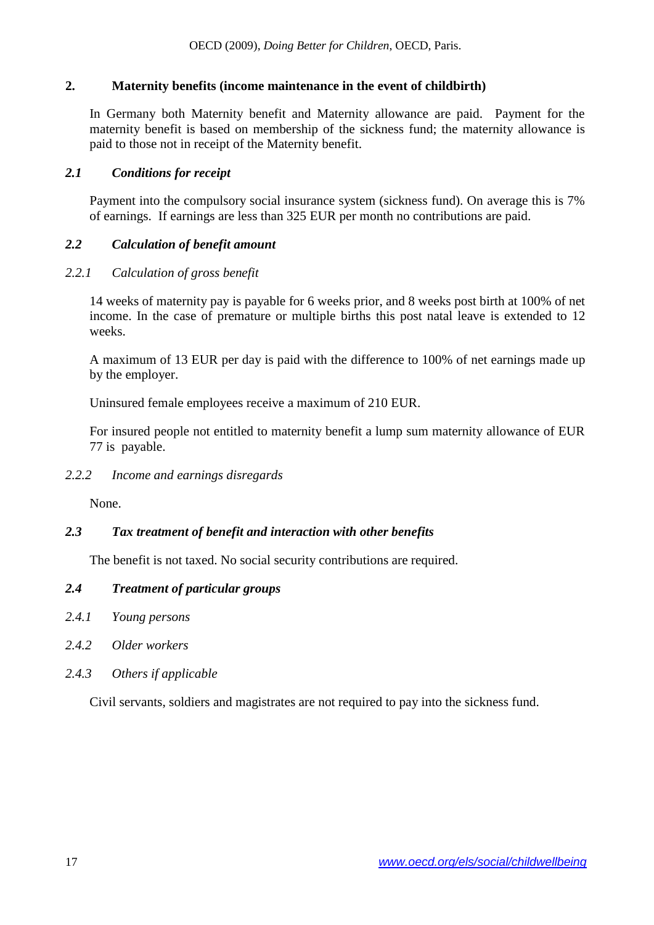### **2. Maternity benefits (income maintenance in the event of childbirth)**

In Germany both Maternity benefit and Maternity allowance are paid. Payment for the maternity benefit is based on membership of the sickness fund; the maternity allowance is paid to those not in receipt of the Maternity benefit.

#### *2.1 Conditions for receipt*

Payment into the compulsory social insurance system (sickness fund). On average this is 7% of earnings. If earnings are less than 325 EUR per month no contributions are paid.

#### *2.2 Calculation of benefit amount*

#### *2.2.1 Calculation of gross benefit*

14 weeks of maternity pay is payable for 6 weeks prior, and 8 weeks post birth at 100% of net income. In the case of premature or multiple births this post natal leave is extended to 12 weeks.

A maximum of 13 EUR per day is paid with the difference to 100% of net earnings made up by the employer.

Uninsured female employees receive a maximum of 210 EUR.

For insured people not entitled to maternity benefit a lump sum maternity allowance of EUR 77 is payable.

#### *2.2.2 Income and earnings disregards*

None.

### *2.3 Tax treatment of benefit and interaction with other benefits*

The benefit is not taxed. No social security contributions are required.

#### *2.4 Treatment of particular groups*

- *2.4.1 Young persons*
- *2.4.2 Older workers*
- *2.4.3 Others if applicable*

Civil servants, soldiers and magistrates are not required to pay into the sickness fund.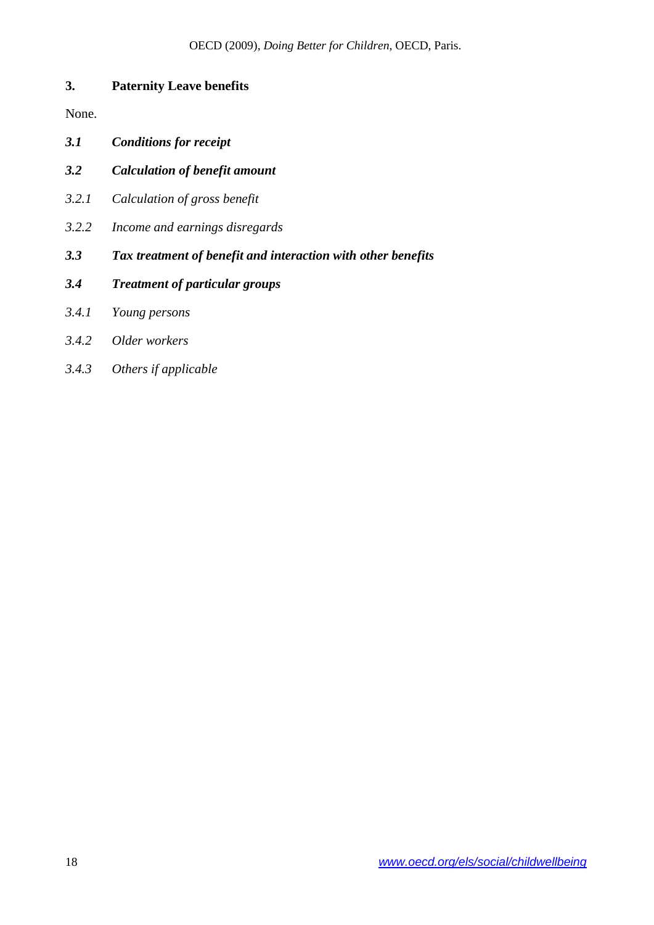# **3. Paternity Leave benefits**

None.

- *3.1 Conditions for receipt*
- *3.2 Calculation of benefit amount*
- *3.2.1 Calculation of gross benefit*
- *3.2.2 Income and earnings disregards*
- *3.3 Tax treatment of benefit and interaction with other benefits*
- *3.4 Treatment of particular groups*
- *3.4.1 Young persons*
- *3.4.2 Older workers*
- *3.4.3 Others if applicable*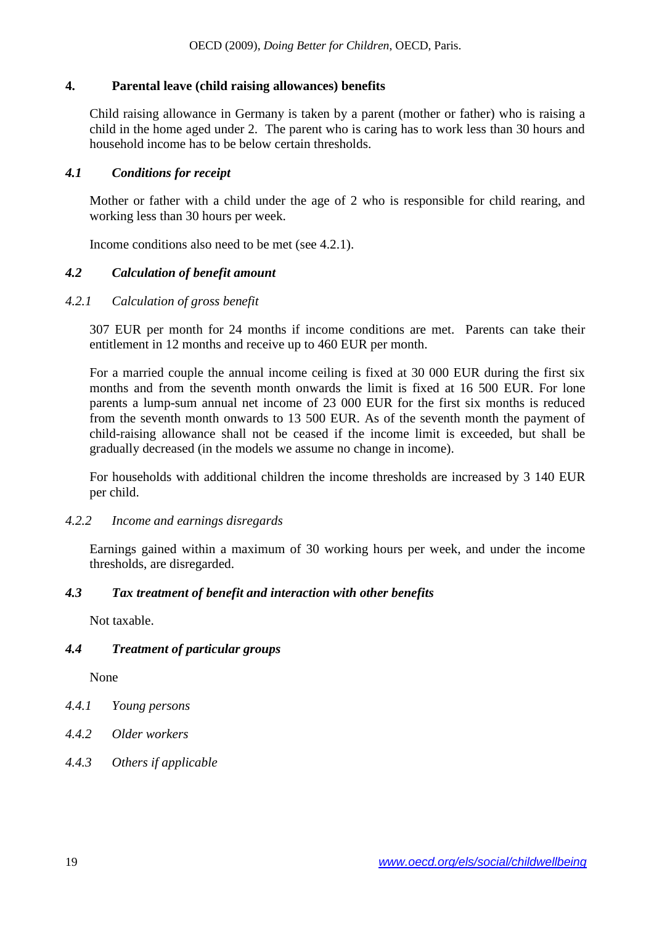### **4. Parental leave (child raising allowances) benefits**

Child raising allowance in Germany is taken by a parent (mother or father) who is raising a child in the home aged under 2. The parent who is caring has to work less than 30 hours and household income has to be below certain thresholds.

#### *4.1 Conditions for receipt*

Mother or father with a child under the age of 2 who is responsible for child rearing, and working less than 30 hours per week.

Income conditions also need to be met (see 4.2.1).

#### *4.2 Calculation of benefit amount*

#### *4.2.1 Calculation of gross benefit*

307 EUR per month for 24 months if income conditions are met. Parents can take their entitlement in 12 months and receive up to 460 EUR per month.

For a married couple the annual income ceiling is fixed at 30 000 EUR during the first six months and from the seventh month onwards the limit is fixed at 16 500 EUR. For lone parents a lump-sum annual net income of 23 000 EUR for the first six months is reduced from the seventh month onwards to 13 500 EUR. As of the seventh month the payment of child-raising allowance shall not be ceased if the income limit is exceeded, but shall be gradually decreased (in the models we assume no change in income).

For households with additional children the income thresholds are increased by 3 140 EUR per child.

#### *4.2.2 Income and earnings disregards*

Earnings gained within a maximum of 30 working hours per week, and under the income thresholds, are disregarded.

### *4.3 Tax treatment of benefit and interaction with other benefits*

Not taxable.

### *4.4 Treatment of particular groups*

None

- *4.4.1 Young persons*
- *4.4.2 Older workers*
- *4.4.3 Others if applicable*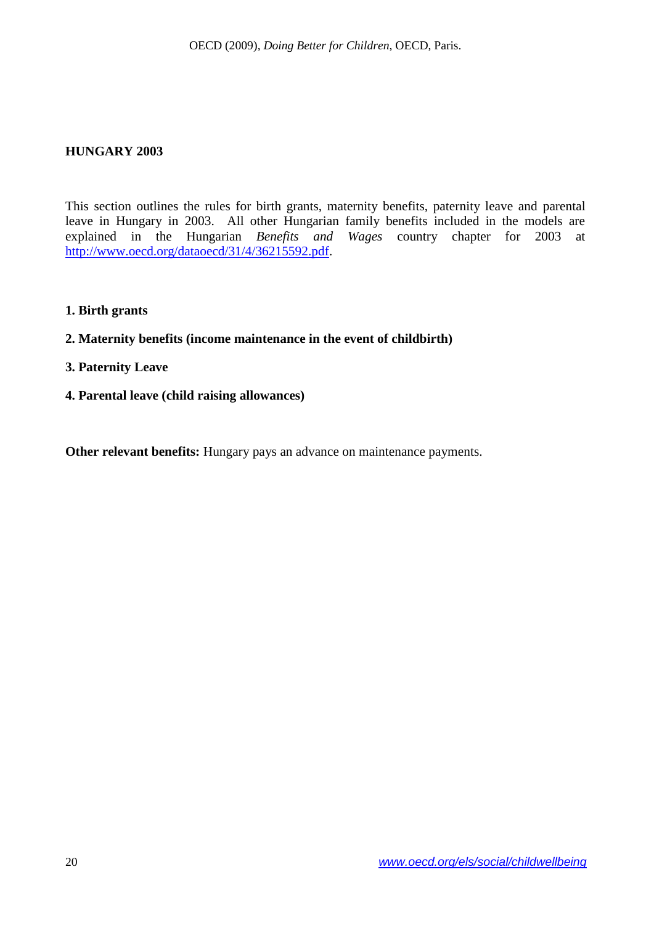#### <span id="page-19-0"></span>**HUNGARY 2003**

This section outlines the rules for birth grants, maternity benefits, paternity leave and parental leave in Hungary in 2003. All other Hungarian family benefits included in the models are explained in the Hungarian *Benefits and Wages* country chapter for 2003 at [http://www.oecd.org/dataoecd/31/4/36215592.pdf.](http://www.oecd.org/dataoecd/31/4/36215592.pdf)

- **1. Birth grants**
- **2. Maternity benefits (income maintenance in the event of childbirth)**
- **3. Paternity Leave**
- **4. Parental leave (child raising allowances)**

**Other relevant benefits:** Hungary pays an advance on maintenance payments.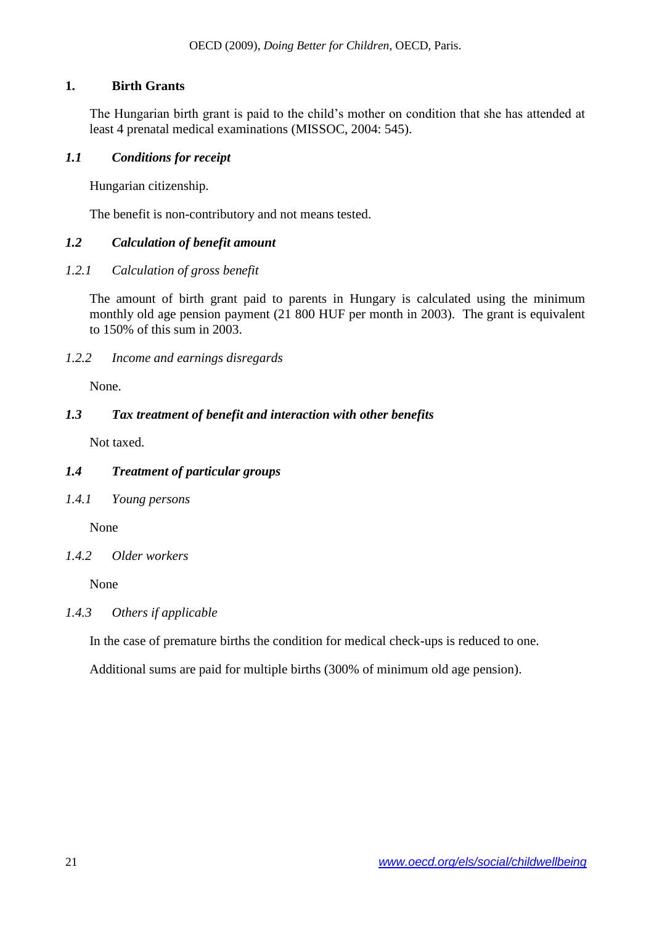### **1. Birth Grants**

The Hungarian birth grant is paid to the child's mother on condition that she has attended at least 4 prenatal medical examinations (MISSOC, 2004: 545).

#### *1.1 Conditions for receipt*

Hungarian citizenship.

The benefit is non-contributory and not means tested.

### *1.2 Calculation of benefit amount*

### *1.2.1 Calculation of gross benefit*

The amount of birth grant paid to parents in Hungary is calculated using the minimum monthly old age pension payment (21 800 HUF per month in 2003). The grant is equivalent to 150% of this sum in 2003.

### *1.2.2 Income and earnings disregards*

None.

### *1.3 Tax treatment of benefit and interaction with other benefits*

Not taxed.

### *1.4 Treatment of particular groups*

*1.4.1 Young persons*

None

### *1.4.2 Older workers*

None

### *1.4.3 Others if applicable*

In the case of premature births the condition for medical check-ups is reduced to one.

Additional sums are paid for multiple births (300% of minimum old age pension).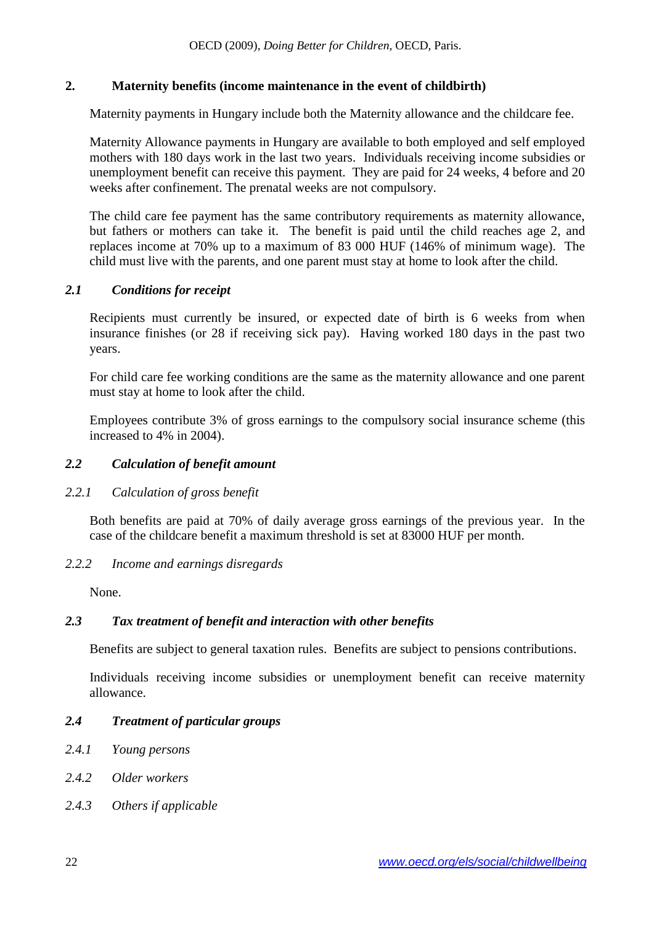### **2. Maternity benefits (income maintenance in the event of childbirth)**

Maternity payments in Hungary include both the Maternity allowance and the childcare fee.

Maternity Allowance payments in Hungary are available to both employed and self employed mothers with 180 days work in the last two years. Individuals receiving income subsidies or unemployment benefit can receive this payment. They are paid for 24 weeks, 4 before and 20 weeks after confinement. The prenatal weeks are not compulsory.

The child care fee payment has the same contributory requirements as maternity allowance, but fathers or mothers can take it. The benefit is paid until the child reaches age 2, and replaces income at 70% up to a maximum of 83 000 HUF (146% of minimum wage). The child must live with the parents, and one parent must stay at home to look after the child.

#### *2.1 Conditions for receipt*

Recipients must currently be insured, or expected date of birth is 6 weeks from when insurance finishes (or 28 if receiving sick pay). Having worked 180 days in the past two years.

For child care fee working conditions are the same as the maternity allowance and one parent must stay at home to look after the child.

Employees contribute 3% of gross earnings to the compulsory social insurance scheme (this increased to 4% in 2004).

#### *2.2 Calculation of benefit amount*

#### *2.2.1 Calculation of gross benefit*

Both benefits are paid at 70% of daily average gross earnings of the previous year. In the case of the childcare benefit a maximum threshold is set at 83000 HUF per month.

#### *2.2.2 Income and earnings disregards*

None.

### *2.3 Tax treatment of benefit and interaction with other benefits*

Benefits are subject to general taxation rules. Benefits are subject to pensions contributions.

Individuals receiving income subsidies or unemployment benefit can receive maternity allowance.

#### *2.4 Treatment of particular groups*

- *2.4.1 Young persons*
- *2.4.2 Older workers*
- *2.4.3 Others if applicable*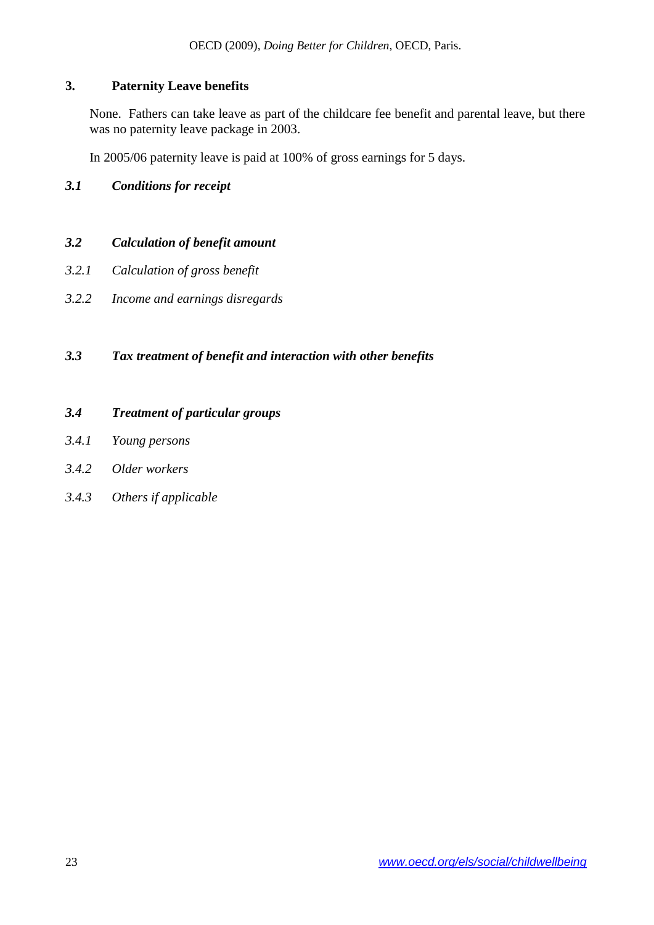### **3. Paternity Leave benefits**

None. Fathers can take leave as part of the childcare fee benefit and parental leave, but there was no paternity leave package in 2003.

In 2005/06 paternity leave is paid at 100% of gross earnings for 5 days.

### *3.1 Conditions for receipt*

### *3.2 Calculation of benefit amount*

- *3.2.1 Calculation of gross benefit*
- *3.2.2 Income and earnings disregards*

# *3.3 Tax treatment of benefit and interaction with other benefits*

### *3.4 Treatment of particular groups*

- *3.4.1 Young persons*
- *3.4.2 Older workers*
- *3.4.3 Others if applicable*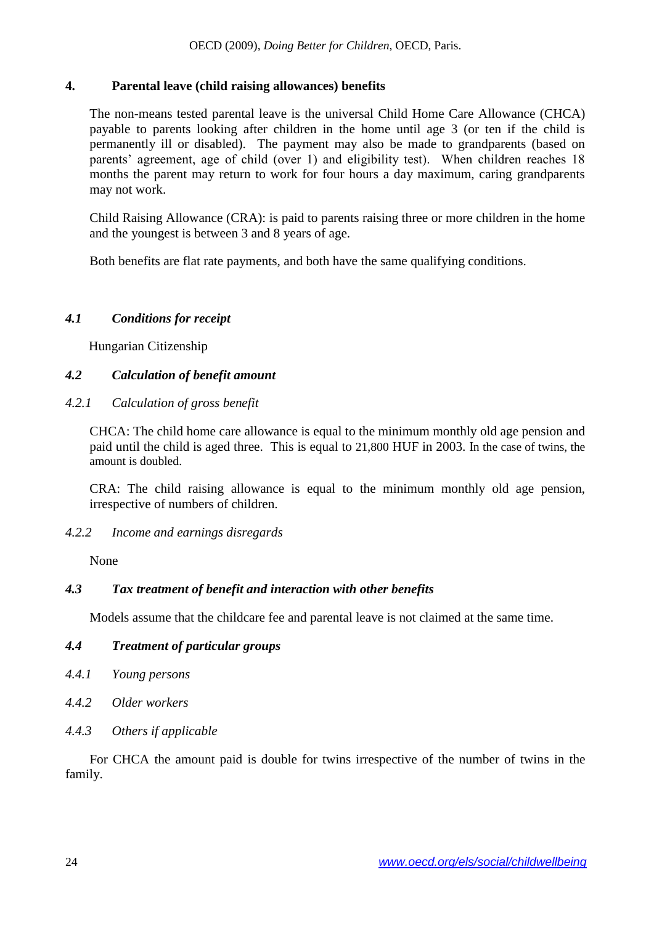### **4. Parental leave (child raising allowances) benefits**

The non-means tested parental leave is the universal Child Home Care Allowance (CHCA) payable to parents looking after children in the home until age 3 (or ten if the child is permanently ill or disabled). The payment may also be made to grandparents (based on parents' agreement, age of child (over 1) and eligibility test). When children reaches 18 months the parent may return to work for four hours a day maximum, caring grandparents may not work.

Child Raising Allowance (CRA): is paid to parents raising three or more children in the home and the youngest is between 3 and 8 years of age.

Both benefits are flat rate payments, and both have the same qualifying conditions.

# *4.1 Conditions for receipt*

Hungarian Citizenship

# *4.2 Calculation of benefit amount*

*4.2.1 Calculation of gross benefit*

CHCA: The child home care allowance is equal to the minimum monthly old age pension and paid until the child is aged three. This is equal to 21,800 HUF in 2003. In the case of twins, the amount is doubled.

CRA: The child raising allowance is equal to the minimum monthly old age pension, irrespective of numbers of children.

### *4.2.2 Income and earnings disregards*

None

### *4.3 Tax treatment of benefit and interaction with other benefits*

Models assume that the childcare fee and parental leave is not claimed at the same time.

### *4.4 Treatment of particular groups*

- *4.4.1 Young persons*
- *4.4.2 Older workers*
- *4.4.3 Others if applicable*

For CHCA the amount paid is double for twins irrespective of the number of twins in the family.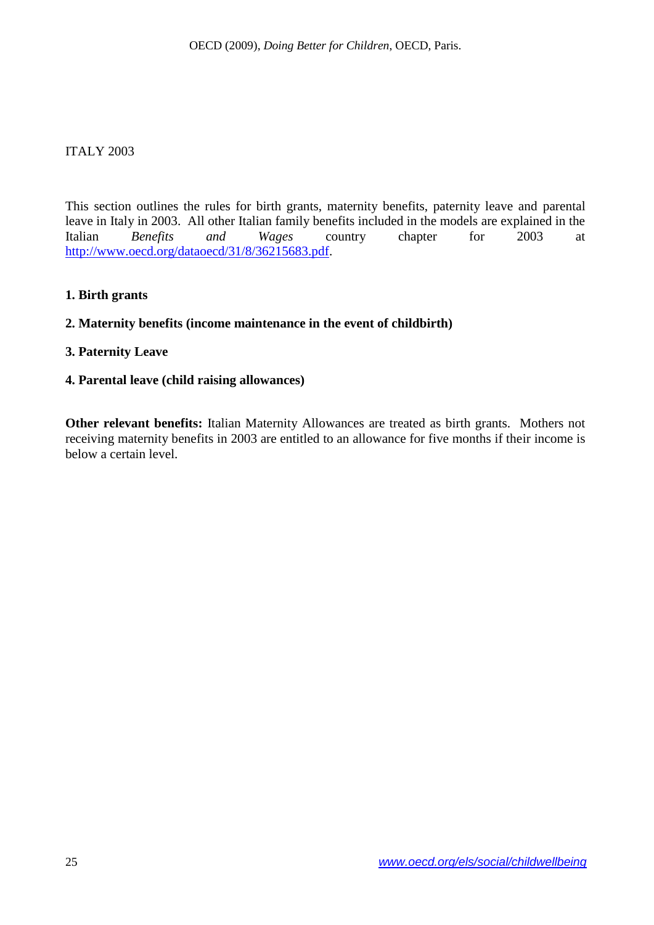#### <span id="page-24-0"></span>ITALY 2003

This section outlines the rules for birth grants, maternity benefits, paternity leave and parental leave in Italy in 2003. All other Italian family benefits included in the models are explained in the Italian *Benefits and Wages* country chapter for 2003 at [http://www.oecd.org/dataoecd/31/8/36215683.pdf.](http://www.oecd.org/dataoecd/31/8/36215683.pdf)

#### **1. Birth grants**

#### **2. Maternity benefits (income maintenance in the event of childbirth)**

#### **3. Paternity Leave**

#### **4. Parental leave (child raising allowances)**

**Other relevant benefits:** Italian Maternity Allowances are treated as birth grants. Mothers not receiving maternity benefits in 2003 are entitled to an allowance for five months if their income is below a certain level.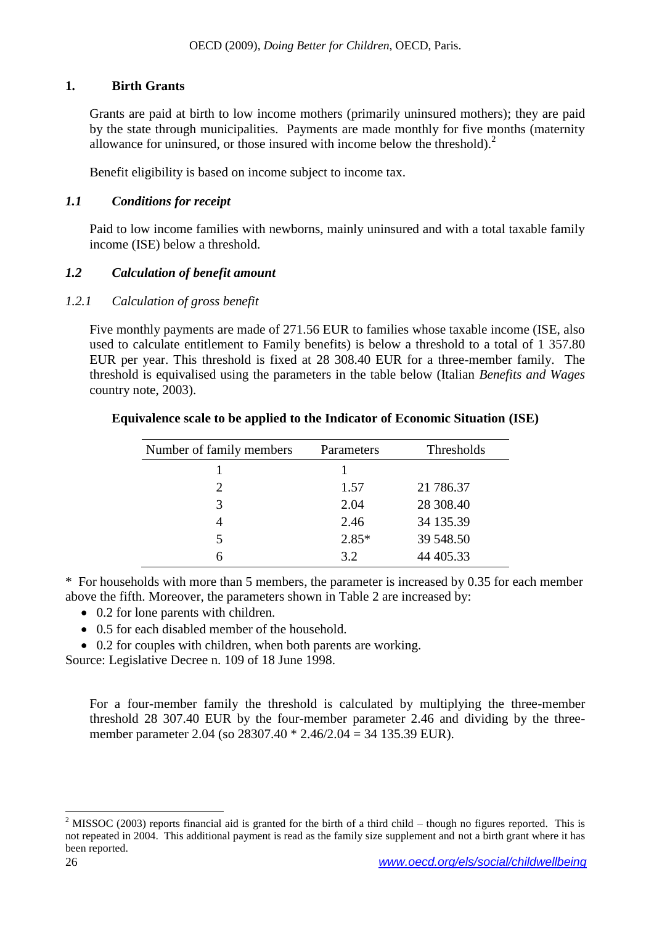### **1. Birth Grants**

Grants are paid at birth to low income mothers (primarily uninsured mothers); they are paid by the state through municipalities. Payments are made monthly for five months (maternity allowance for uninsured, or those insured with income below the threshold).<sup>2</sup>

Benefit eligibility is based on income subject to income tax.

# *1.1 Conditions for receipt*

Paid to low income families with newborns, mainly uninsured and with a total taxable family income (ISE) below a threshold.

# *1.2 Calculation of benefit amount*

# *1.2.1 Calculation of gross benefit*

Five monthly payments are made of 271.56 EUR to families whose taxable income (ISE, also used to calculate entitlement to Family benefits) is below a threshold to a total of 1 357.80 EUR per year. This threshold is fixed at 28 308.40 EUR for a three-member family. The threshold is equivalised using the parameters in the table below (Italian *Benefits and Wages* country note, 2003).

| Number of family members | Parameters | Thresholds |
|--------------------------|------------|------------|
|                          |            |            |
|                          | 1.57       | 21 786.37  |
| 3                        | 2.04       | 28 308.40  |
| 4                        | 2.46       | 34 135.39  |
| 5                        | $2.85*$    | 39 548.50  |
| h                        | 3.2        | 44 405.33  |

### **Equivalence scale to be applied to the Indicator of Economic Situation (ISE)**

\* For households with more than 5 members, the parameter is increased by 0.35 for each member above the fifth. Moreover, the parameters shown in Table 2 are increased by:

- 0.2 for lone parents with children.
- 0.5 for each disabled member of the household.
- 0.2 for couples with children, when both parents are working.

Source: Legislative Decree n. 109 of 18 June 1998.

For a four-member family the threshold is calculated by multiplying the three-member threshold 28 307.40 EUR by the four-member parameter 2.46 and dividing by the threemember parameter 2.04 (so 28307.40 \* 2.46/2.04 = 34 135.39 EUR).

l <sup>2</sup> MISSOC (2003) reports financial aid is granted for the birth of a third child – though no figures reported. This is not repeated in 2004. This additional payment is read as the family size supplement and not a birth grant where it has been reported.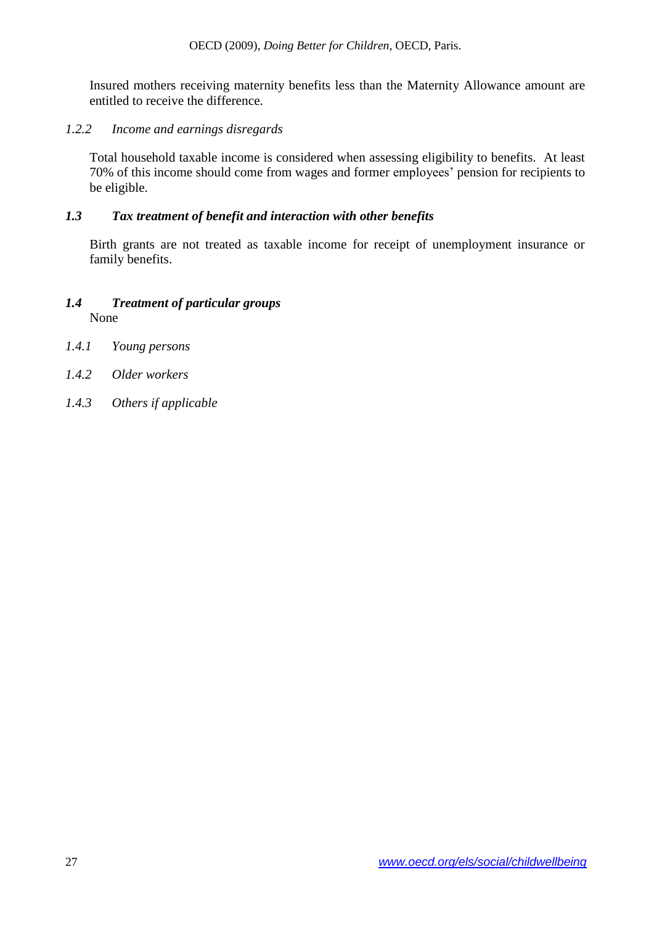Insured mothers receiving maternity benefits less than the Maternity Allowance amount are entitled to receive the difference.

### *1.2.2 Income and earnings disregards*

Total household taxable income is considered when assessing eligibility to benefits. At least 70% of this income should come from wages and former employees' pension for recipients to be eligible.

#### *1.3 Tax treatment of benefit and interaction with other benefits*

Birth grants are not treated as taxable income for receipt of unemployment insurance or family benefits.

### *1.4 Treatment of particular groups* None

- *1.4.1 Young persons*
- *1.4.2 Older workers*
- *1.4.3 Others if applicable*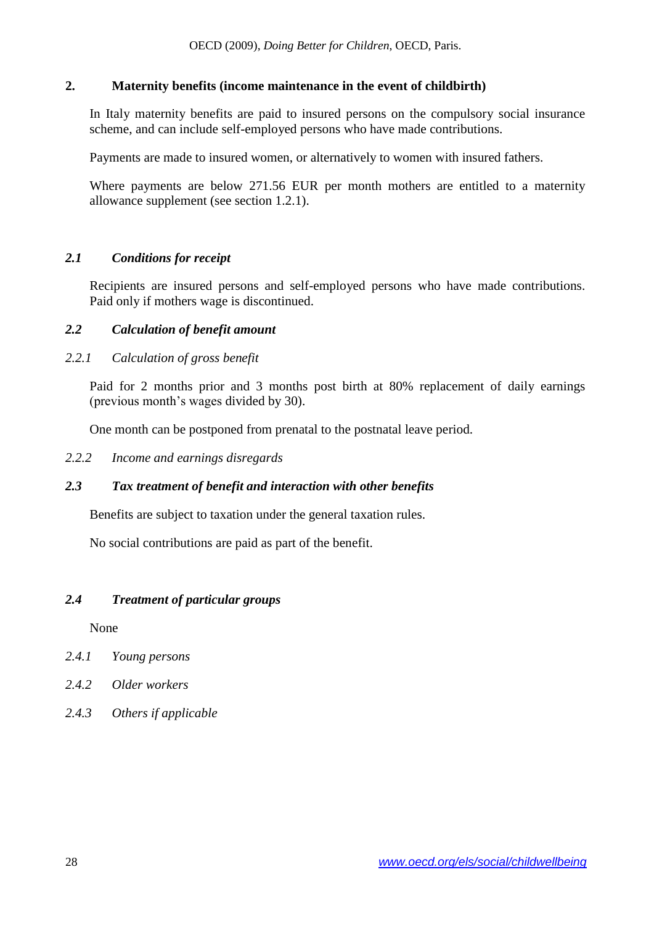### **2. Maternity benefits (income maintenance in the event of childbirth)**

In Italy maternity benefits are paid to insured persons on the compulsory social insurance scheme, and can include self-employed persons who have made contributions.

Payments are made to insured women, or alternatively to women with insured fathers.

Where payments are below 271.56 EUR per month mothers are entitled to a maternity allowance supplement (see section 1.2.1).

# *2.1 Conditions for receipt*

Recipients are insured persons and self-employed persons who have made contributions. Paid only if mothers wage is discontinued.

### *2.2 Calculation of benefit amount*

# *2.2.1 Calculation of gross benefit*

Paid for 2 months prior and 3 months post birth at 80% replacement of daily earnings (previous month's wages divided by 30).

One month can be postponed from prenatal to the postnatal leave period.

*2.2.2 Income and earnings disregards*

### *2.3 Tax treatment of benefit and interaction with other benefits*

Benefits are subject to taxation under the general taxation rules.

No social contributions are paid as part of the benefit.

### *2.4 Treatment of particular groups*

None

- *2.4.1 Young persons*
- *2.4.2 Older workers*
- *2.4.3 Others if applicable*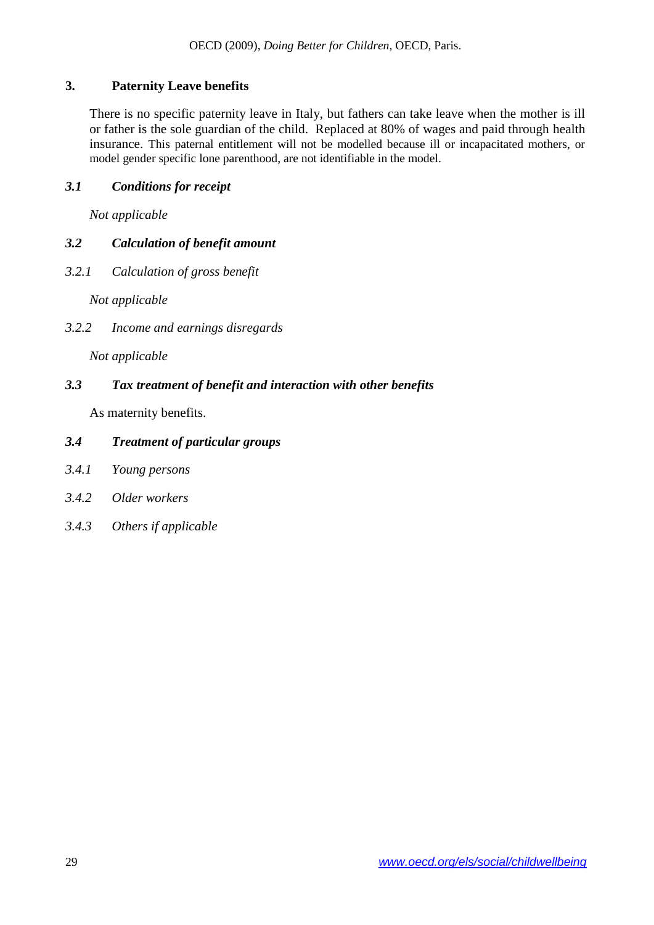# **3. Paternity Leave benefits**

There is no specific paternity leave in Italy, but fathers can take leave when the mother is ill or father is the sole guardian of the child. Replaced at 80% of wages and paid through health insurance. This paternal entitlement will not be modelled because ill or incapacitated mothers, or model gender specific lone parenthood, are not identifiable in the model.

### *3.1 Conditions for receipt*

*Not applicable* 

# *3.2 Calculation of benefit amount*

*3.2.1 Calculation of gross benefit*

*Not applicable* 

*3.2.2 Income and earnings disregards*

*Not applicable* 

### *3.3 Tax treatment of benefit and interaction with other benefits*

As maternity benefits.

#### *3.4 Treatment of particular groups*

- *3.4.1 Young persons*
- *3.4.2 Older workers*
- *3.4.3 Others if applicable*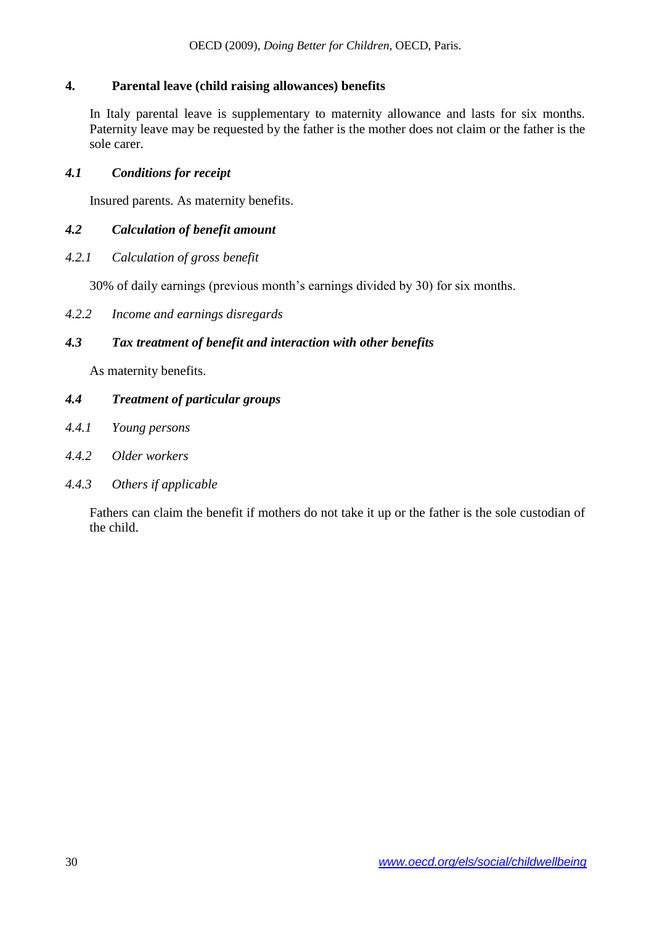### **4. Parental leave (child raising allowances) benefits**

In Italy parental leave is supplementary to maternity allowance and lasts for six months. Paternity leave may be requested by the father is the mother does not claim or the father is the sole carer.

### *4.1 Conditions for receipt*

Insured parents. As maternity benefits.

### *4.2 Calculation of benefit amount*

*4.2.1 Calculation of gross benefit*

30% of daily earnings (previous month's earnings divided by 30) for six months.

*4.2.2 Income and earnings disregards*

#### *4.3 Tax treatment of benefit and interaction with other benefits*

As maternity benefits.

#### *4.4 Treatment of particular groups*

- *4.4.1 Young persons*
- *4.4.2 Older workers*
- *4.4.3 Others if applicable*

Fathers can claim the benefit if mothers do not take it up or the father is the sole custodian of the child.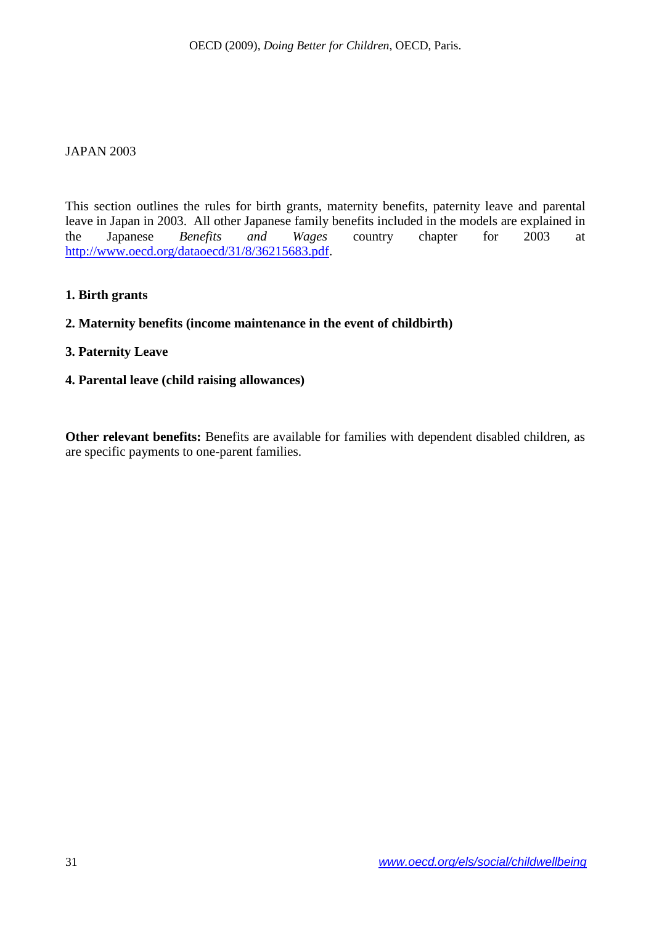#### <span id="page-30-0"></span>JAPAN 2003

This section outlines the rules for birth grants, maternity benefits, paternity leave and parental leave in Japan in 2003. All other Japanese family benefits included in the models are explained in the Japanese *Benefits and Wages* country chapter for 2003 at [http://www.oecd.org/dataoecd/31/8/36215683.pdf.](http://www.oecd.org/dataoecd/31/8/36215683.pdf)

#### **1. Birth grants**

### **2. Maternity benefits (income maintenance in the event of childbirth)**

#### **3. Paternity Leave**

#### **4. Parental leave (child raising allowances)**

**Other relevant benefits:** Benefits are available for families with dependent disabled children, as are specific payments to one-parent families.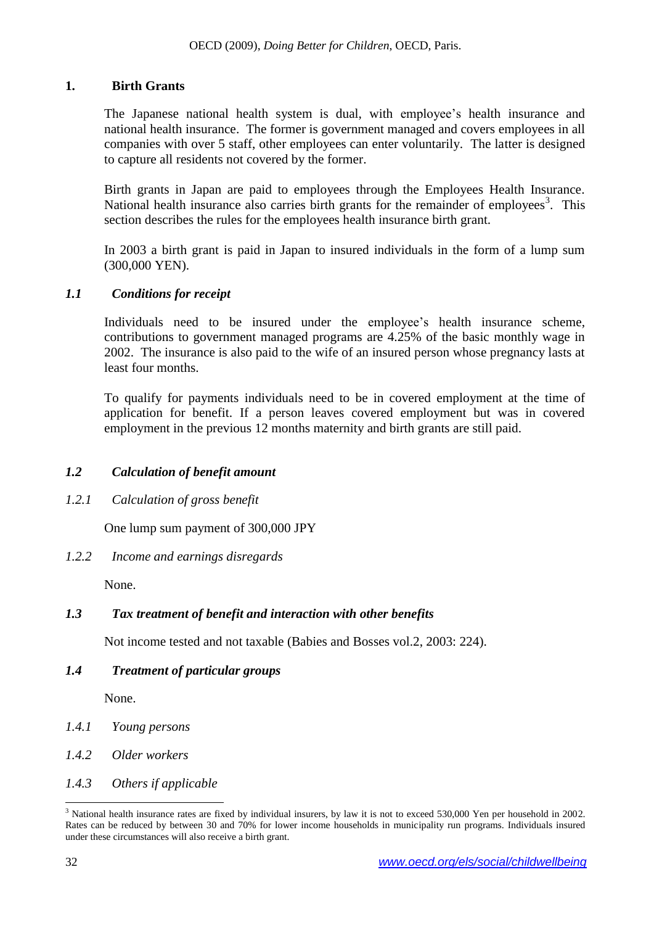#### **1. Birth Grants**

The Japanese national health system is dual, with employee's health insurance and national health insurance. The former is government managed and covers employees in all companies with over 5 staff, other employees can enter voluntarily. The latter is designed to capture all residents not covered by the former.

Birth grants in Japan are paid to employees through the Employees Health Insurance. National health insurance also carries birth grants for the remainder of employees<sup>3</sup>. This section describes the rules for the employees health insurance birth grant.

In 2003 a birth grant is paid in Japan to insured individuals in the form of a lump sum (300,000 YEN).

#### *1.1 Conditions for receipt*

Individuals need to be insured under the employee's health insurance scheme, contributions to government managed programs are 4.25% of the basic monthly wage in 2002. The insurance is also paid to the wife of an insured person whose pregnancy lasts at least four months.

To qualify for payments individuals need to be in covered employment at the time of application for benefit. If a person leaves covered employment but was in covered employment in the previous 12 months maternity and birth grants are still paid.

### *1.2 Calculation of benefit amount*

*1.2.1 Calculation of gross benefit*

One lump sum payment of 300,000 JPY

*1.2.2 Income and earnings disregards*

None.

### *1.3 Tax treatment of benefit and interaction with other benefits*

Not income tested and not taxable (Babies and Bosses vol.2, 2003: 224).

### *1.4 Treatment of particular groups*

None.

- *1.4.1 Young persons*
- *1.4.2 Older workers*
- *1.4.3 Others if applicable*

 $\overline{a}$ 

 $3$  National health insurance rates are fixed by individual insurers, by law it is not to exceed 530,000 Yen per household in 2002. Rates can be reduced by between 30 and 70% for lower income households in municipality run programs. Individuals insured under these circumstances will also receive a birth grant.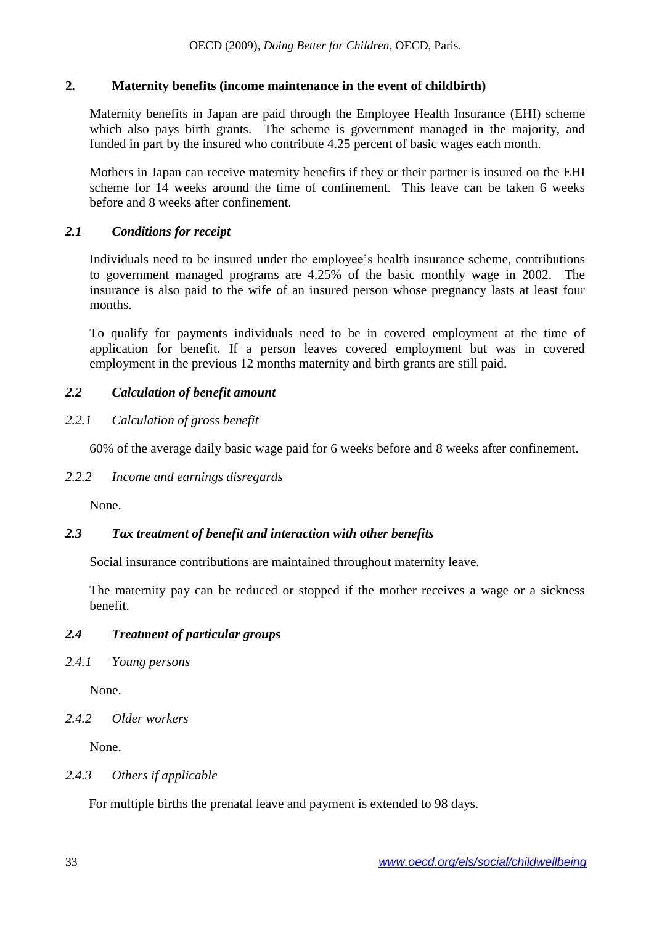### **2. Maternity benefits (income maintenance in the event of childbirth)**

Maternity benefits in Japan are paid through the Employee Health Insurance (EHI) scheme which also pays birth grants. The scheme is government managed in the majority, and funded in part by the insured who contribute 4.25 percent of basic wages each month.

Mothers in Japan can receive maternity benefits if they or their partner is insured on the EHI scheme for 14 weeks around the time of confinement. This leave can be taken 6 weeks before and 8 weeks after confinement.

#### *2.1 Conditions for receipt*

Individuals need to be insured under the employee's health insurance scheme, contributions to government managed programs are 4.25% of the basic monthly wage in 2002. The insurance is also paid to the wife of an insured person whose pregnancy lasts at least four months.

To qualify for payments individuals need to be in covered employment at the time of application for benefit. If a person leaves covered employment but was in covered employment in the previous 12 months maternity and birth grants are still paid.

### *2.2 Calculation of benefit amount*

#### *2.2.1 Calculation of gross benefit*

60% of the average daily basic wage paid for 6 weeks before and 8 weeks after confinement.

#### *2.2.2 Income and earnings disregards*

None.

### *2.3 Tax treatment of benefit and interaction with other benefits*

Social insurance contributions are maintained throughout maternity leave.

The maternity pay can be reduced or stopped if the mother receives a wage or a sickness benefit.

#### *2.4 Treatment of particular groups*

*2.4.1 Young persons*

None.

*2.4.2 Older workers*

None.

#### *2.4.3 Others if applicable*

For multiple births the prenatal leave and payment is extended to 98 days.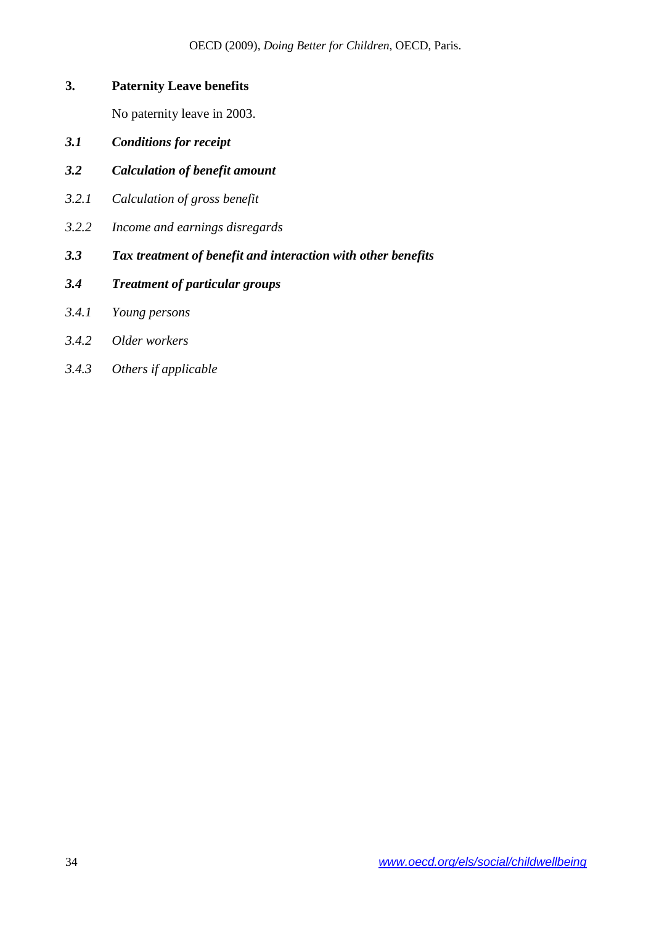# **3. Paternity Leave benefits**

No paternity leave in 2003.

- *3.1 Conditions for receipt*
- *3.2 Calculation of benefit amount*
- *3.2.1 Calculation of gross benefit*
- *3.2.2 Income and earnings disregards*
- *3.3 Tax treatment of benefit and interaction with other benefits*
- *3.4 Treatment of particular groups*
- *3.4.1 Young persons*
- *3.4.2 Older workers*
- *3.4.3 Others if applicable*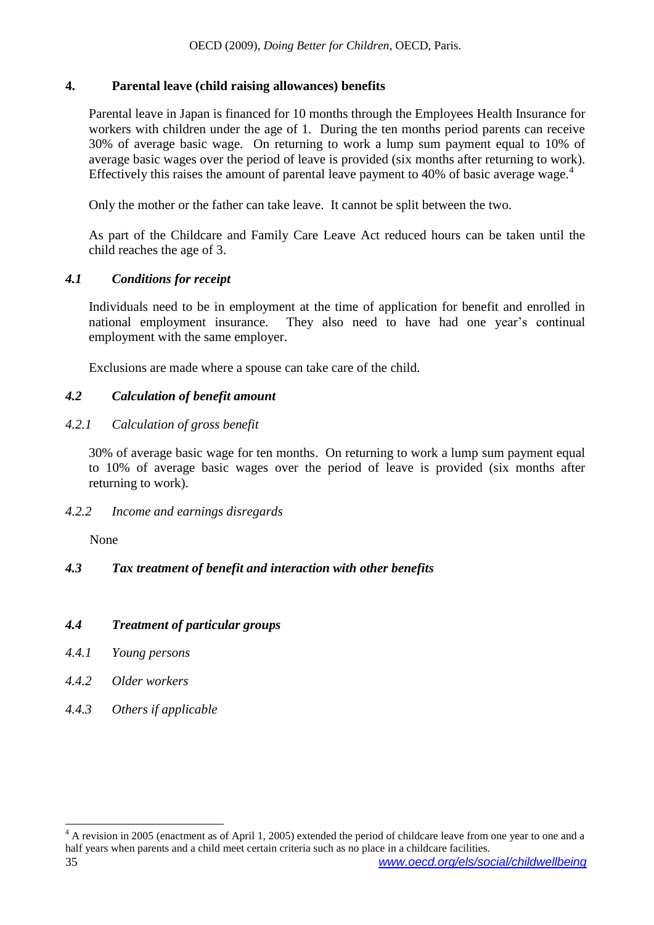### **4. Parental leave (child raising allowances) benefits**

Parental leave in Japan is financed for 10 months through the Employees Health Insurance for workers with children under the age of 1. During the ten months period parents can receive 30% of average basic wage. On returning to work a lump sum payment equal to 10% of average basic wages over the period of leave is provided (six months after returning to work). Effectively this raises the amount of parental leave payment to 40% of basic average wage.<sup>4</sup>

Only the mother or the father can take leave. It cannot be split between the two.

As part of the Childcare and Family Care Leave Act reduced hours can be taken until the child reaches the age of 3.

#### *4.1 Conditions for receipt*

Individuals need to be in employment at the time of application for benefit and enrolled in national employment insurance. They also need to have had one year's continual employment with the same employer.

Exclusions are made where a spouse can take care of the child.

### *4.2 Calculation of benefit amount*

#### *4.2.1 Calculation of gross benefit*

30% of average basic wage for ten months. On returning to work a lump sum payment equal to 10% of average basic wages over the period of leave is provided (six months after returning to work).

#### *4.2.2 Income and earnings disregards*

None

### *4.3 Tax treatment of benefit and interaction with other benefits*

#### *4.4 Treatment of particular groups*

- *4.4.1 Young persons*
- *4.4.2 Older workers*

l

*4.4.3 Others if applicable*

<sup>35</sup> *www.oecd.org/els/social/childwellbeing*  $4 \text{ A revision in } 2005$  (enactment as of April 1, 2005) extended the period of childcare leave from one year to one and a half years when parents and a child meet certain criteria such as no place in a childcare facilities.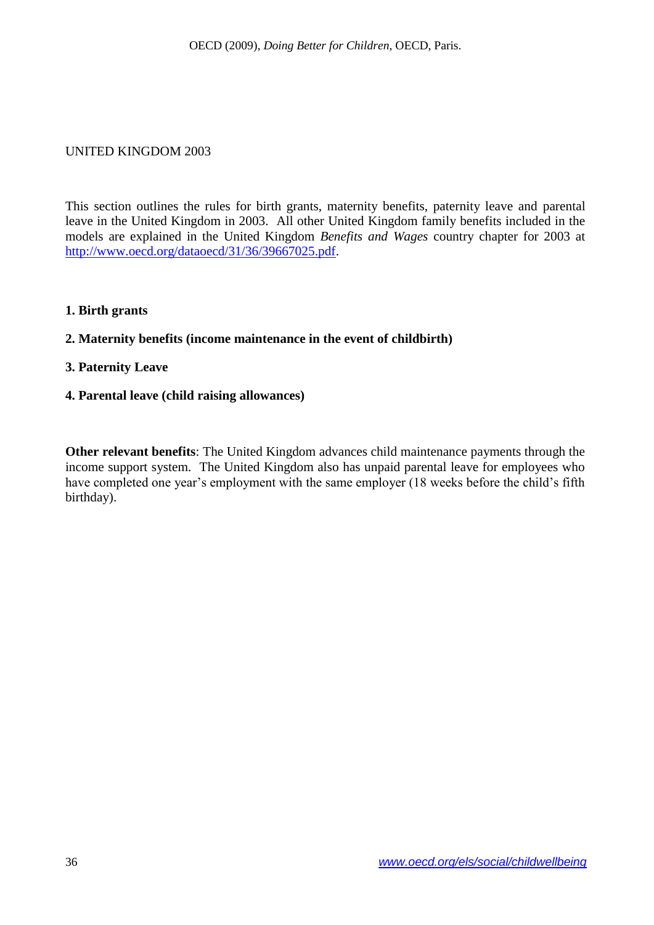#### <span id="page-35-0"></span>UNITED KINGDOM 2003

This section outlines the rules for birth grants, maternity benefits, paternity leave and parental leave in the United Kingdom in 2003. All other United Kingdom family benefits included in the models are explained in the United Kingdom *Benefits and Wages* country chapter for 2003 at [http://www.oecd.org/dataoecd/31/36/39667025.pdf.](http://www.oecd.org/dataoecd/31/36/39667025.pdf)

#### **1. Birth grants**

#### **2. Maternity benefits (income maintenance in the event of childbirth)**

#### **3. Paternity Leave**

#### **4. Parental leave (child raising allowances)**

**Other relevant benefits**: The United Kingdom advances child maintenance payments through the income support system. The United Kingdom also has unpaid parental leave for employees who have completed one year's employment with the same employer (18 weeks before the child's fifth birthday).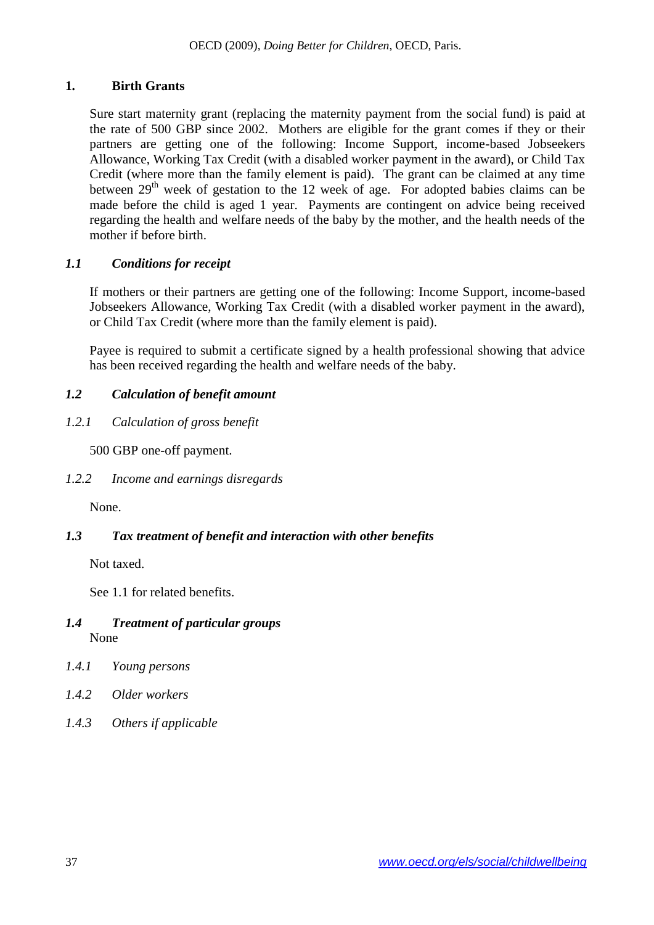### **1. Birth Grants**

Sure start maternity grant (replacing the maternity payment from the social fund) is paid at the rate of 500 GBP since 2002. Mothers are eligible for the grant comes if they or their partners are getting one of the following: Income Support, income-based Jobseekers Allowance, Working Tax Credit (with a disabled worker payment in the award), or Child Tax Credit (where more than the family element is paid). The grant can be claimed at any time between  $29<sup>th</sup>$  week of gestation to the 12 week of age. For adopted babies claims can be made before the child is aged 1 year. Payments are contingent on advice being received regarding the health and welfare needs of the baby by the mother, and the health needs of the mother if before birth.

### *1.1 Conditions for receipt*

If mothers or their partners are getting one of the following: Income Support, income-based Jobseekers Allowance, Working Tax Credit (with a disabled worker payment in the award), or Child Tax Credit (where more than the family element is paid).

Payee is required to submit a certificate signed by a health professional showing that advice has been received regarding the health and welfare needs of the baby.

# *1.2 Calculation of benefit amount*

*1.2.1 Calculation of gross benefit*

500 GBP one-off payment.

*1.2.2 Income and earnings disregards*

None.

# *1.3 Tax treatment of benefit and interaction with other benefits*

Not taxed.

See 1.1 for related benefits.

### *1.4 Treatment of particular groups* None

- *1.4.1 Young persons*
- *1.4.2 Older workers*
- *1.4.3 Others if applicable*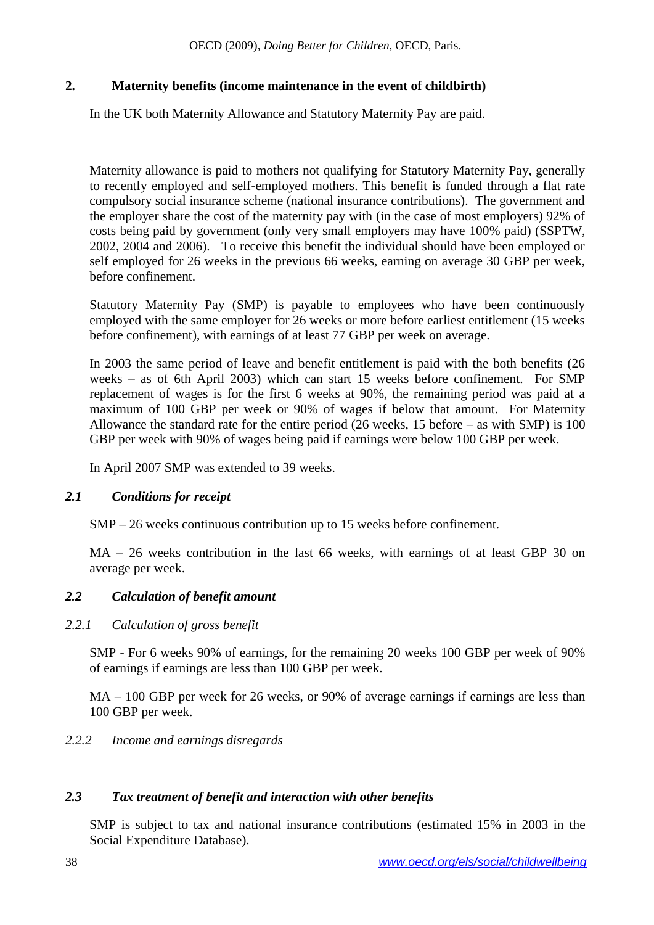# **2. Maternity benefits (income maintenance in the event of childbirth)**

In the UK both Maternity Allowance and Statutory Maternity Pay are paid.

Maternity allowance is paid to mothers not qualifying for Statutory Maternity Pay, generally to recently employed and self-employed mothers. This benefit is funded through a flat rate compulsory social insurance scheme (national insurance contributions). The government and the employer share the cost of the maternity pay with (in the case of most employers) 92% of costs being paid by government (only very small employers may have 100% paid) (SSPTW, 2002, 2004 and 2006). To receive this benefit the individual should have been employed or self employed for 26 weeks in the previous 66 weeks, earning on average 30 GBP per week, before confinement.

Statutory Maternity Pay (SMP) is payable to employees who have been continuously employed with the same employer for 26 weeks or more before earliest entitlement (15 weeks before confinement), with earnings of at least 77 GBP per week on average.

In 2003 the same period of leave and benefit entitlement is paid with the both benefits (26 weeks – as of 6th April 2003) which can start 15 weeks before confinement. For SMP replacement of wages is for the first 6 weeks at 90%, the remaining period was paid at a maximum of 100 GBP per week or 90% of wages if below that amount. For Maternity Allowance the standard rate for the entire period (26 weeks, 15 before – as with SMP) is 100 GBP per week with 90% of wages being paid if earnings were below 100 GBP per week.

In April 2007 SMP was extended to 39 weeks.

### *2.1 Conditions for receipt*

SMP – 26 weeks continuous contribution up to 15 weeks before confinement.

MA – 26 weeks contribution in the last 66 weeks, with earnings of at least GBP 30 on average per week.

### *2.2 Calculation of benefit amount*

### *2.2.1 Calculation of gross benefit*

SMP - For 6 weeks 90% of earnings, for the remaining 20 weeks 100 GBP per week of 90% of earnings if earnings are less than 100 GBP per week.

MA – 100 GBP per week for 26 weeks, or 90% of average earnings if earnings are less than 100 GBP per week.

### *2.2.2 Income and earnings disregards*

### *2.3 Tax treatment of benefit and interaction with other benefits*

SMP is subject to tax and national insurance contributions (estimated 15% in 2003 in the Social Expenditure Database).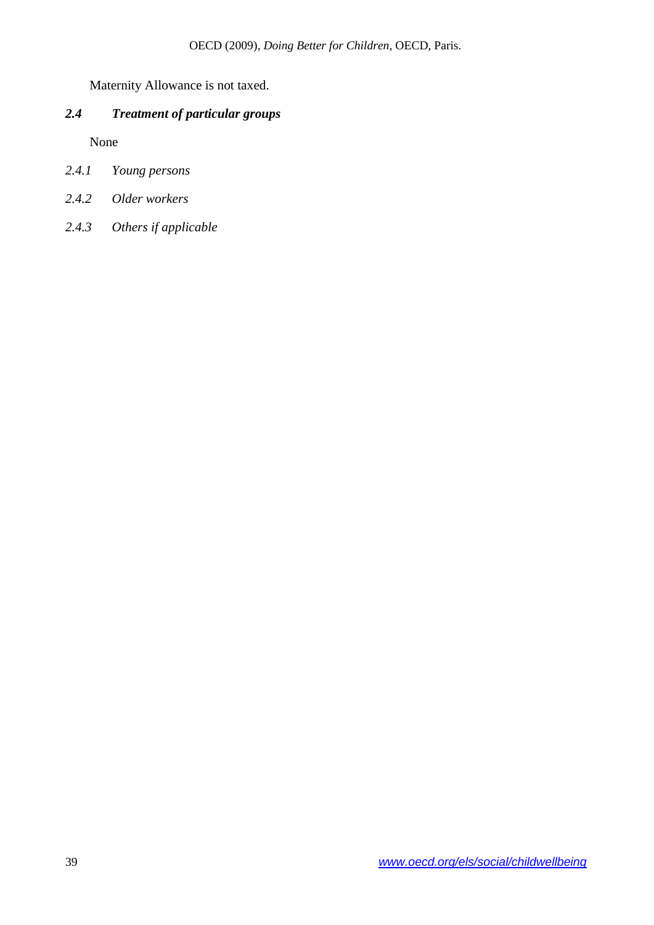Maternity Allowance is not taxed.

# *2.4 Treatment of particular groups*

None

- *2.4.1 Young persons*
- *2.4.2 Older workers*
- *2.4.3 Others if applicable*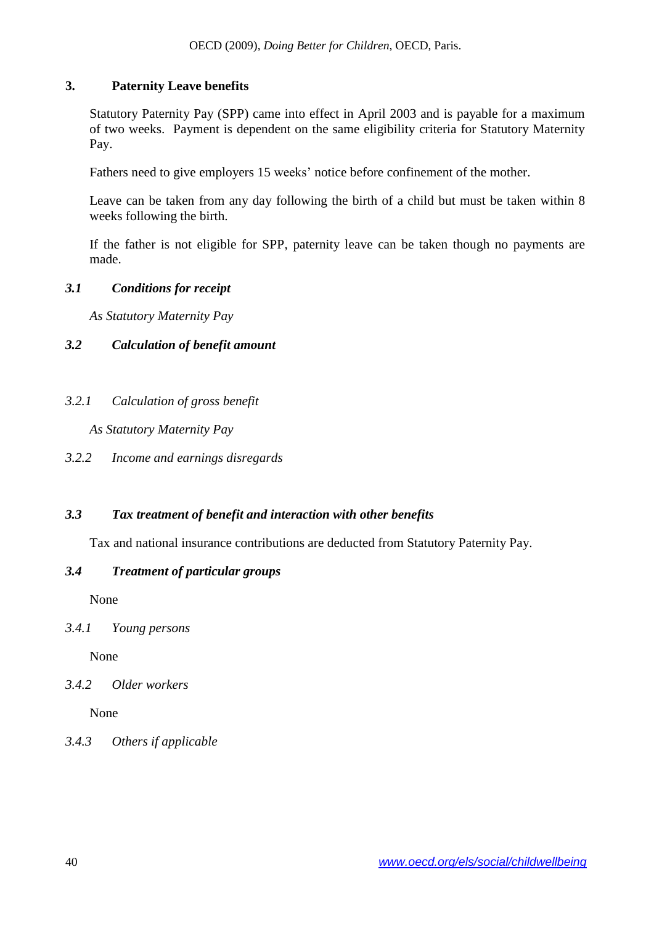### **3. Paternity Leave benefits**

Statutory Paternity Pay (SPP) came into effect in April 2003 and is payable for a maximum of two weeks. Payment is dependent on the same eligibility criteria for Statutory Maternity Pay.

Fathers need to give employers 15 weeks' notice before confinement of the mother.

Leave can be taken from any day following the birth of a child but must be taken within 8 weeks following the birth.

If the father is not eligible for SPP, paternity leave can be taken though no payments are made.

### *3.1 Conditions for receipt*

*As Statutory Maternity Pay* 

# *3.2 Calculation of benefit amount*

*3.2.1 Calculation of gross benefit*

*As Statutory Maternity Pay* 

*3.2.2 Income and earnings disregards*

# *3.3 Tax treatment of benefit and interaction with other benefits*

Tax and national insurance contributions are deducted from Statutory Paternity Pay.

### *3.4 Treatment of particular groups*

None

# *3.4.1 Young persons*

None

# *3.4.2 Older workers*

None

# *3.4.3 Others if applicable*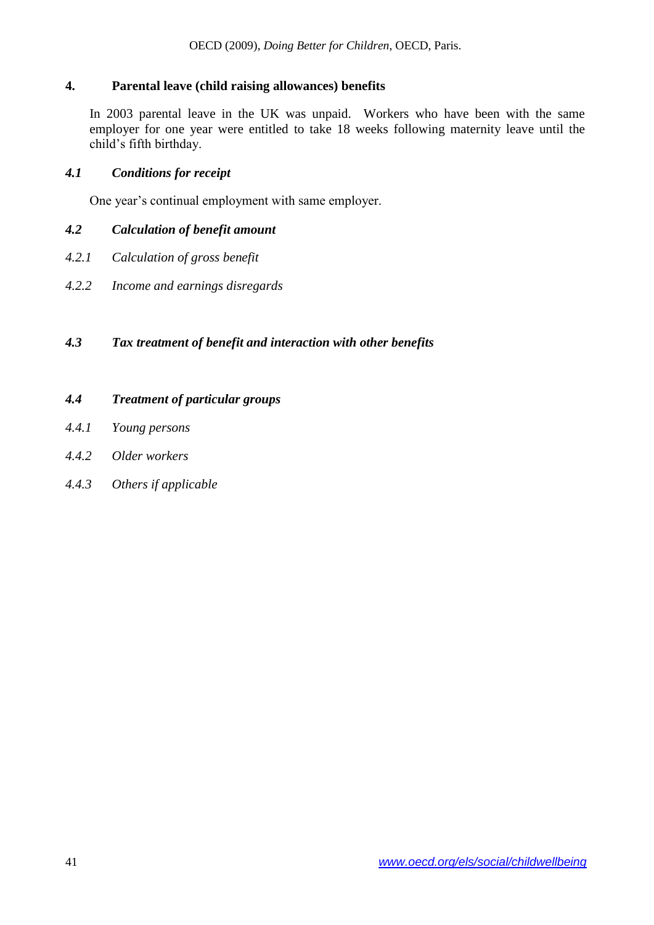### **4. Parental leave (child raising allowances) benefits**

In 2003 parental leave in the UK was unpaid. Workers who have been with the same employer for one year were entitled to take 18 weeks following maternity leave until the child's fifth birthday.

### *4.1 Conditions for receipt*

One year's continual employment with same employer.

### *4.2 Calculation of benefit amount*

- *4.2.1 Calculation of gross benefit*
- *4.2.2 Income and earnings disregards*

# *4.3 Tax treatment of benefit and interaction with other benefits*

### *4.4 Treatment of particular groups*

- *4.4.1 Young persons*
- *4.4.2 Older workers*
- *4.4.3 Others if applicable*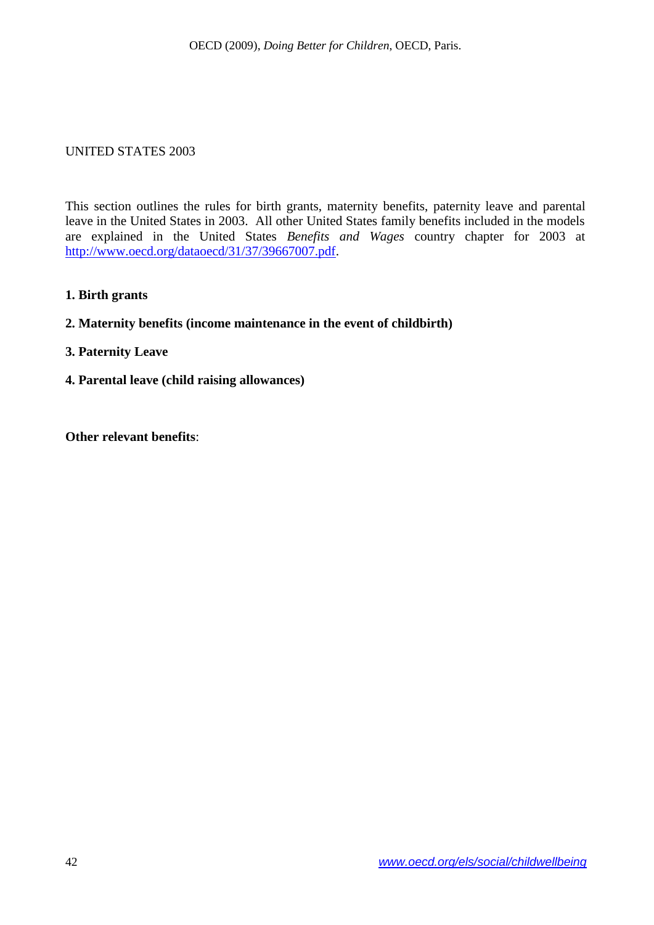#### <span id="page-41-0"></span>UNITED STATES 2003

This section outlines the rules for birth grants, maternity benefits, paternity leave and parental leave in the United States in 2003. All other United States family benefits included in the models are explained in the United States *Benefits and Wages* country chapter for 2003 at [http://www.oecd.org/dataoecd/31/37/39667007.pdf.](http://www.oecd.org/dataoecd/31/37/39667007.pdf)

**1. Birth grants**

#### **2. Maternity benefits (income maintenance in the event of childbirth)**

- **3. Paternity Leave**
- **4. Parental leave (child raising allowances)**

**Other relevant benefits**: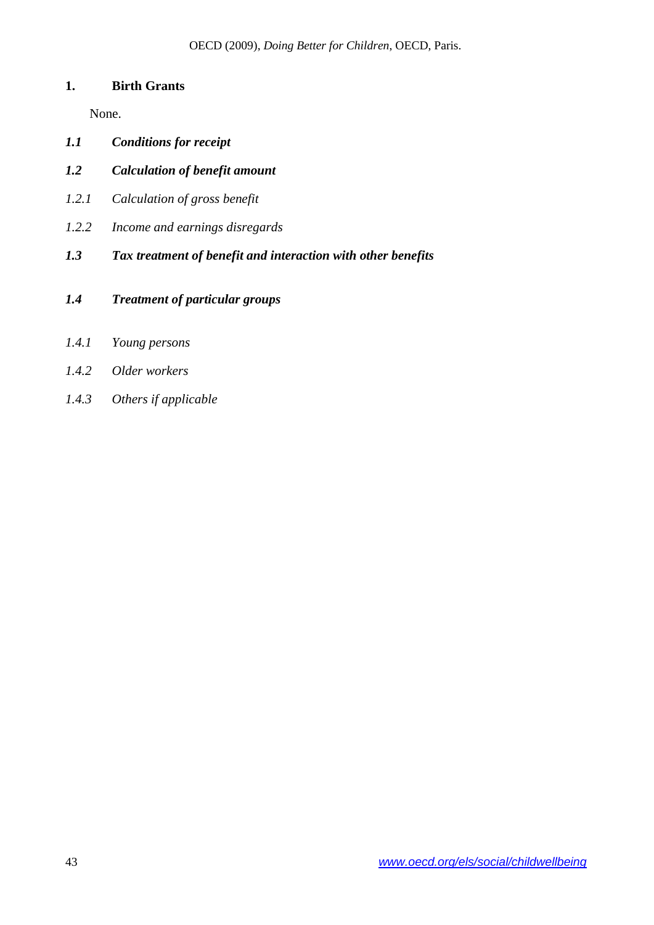### **1. Birth Grants**

None.

- *1.1 Conditions for receipt*
- *1.2 Calculation of benefit amount*
- *1.2.1 Calculation of gross benefit*
- *1.2.2 Income and earnings disregards*
- *1.3 Tax treatment of benefit and interaction with other benefits*
- *1.4 Treatment of particular groups*
- *1.4.1 Young persons*
- *1.4.2 Older workers*
- *1.4.3 Others if applicable*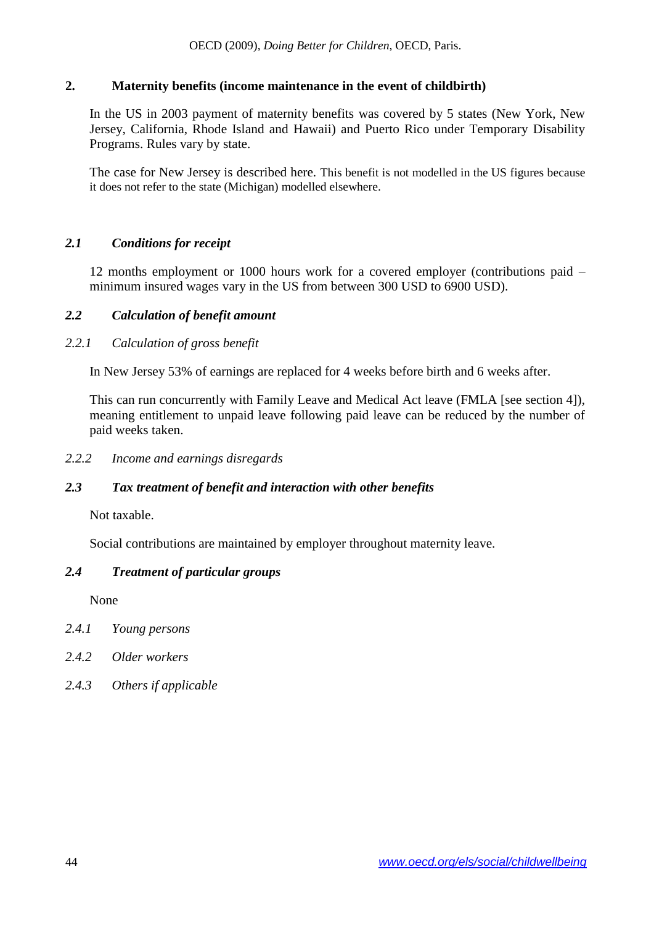### **2. Maternity benefits (income maintenance in the event of childbirth)**

In the US in 2003 payment of maternity benefits was covered by 5 states (New York, New Jersey, California, Rhode Island and Hawaii) and Puerto Rico under Temporary Disability Programs. Rules vary by state.

The case for New Jersey is described here. This benefit is not modelled in the US figures because it does not refer to the state (Michigan) modelled elsewhere.

### *2.1 Conditions for receipt*

12 months employment or 1000 hours work for a covered employer (contributions paid – minimum insured wages vary in the US from between 300 USD to 6900 USD).

#### *2.2 Calculation of benefit amount*

#### *2.2.1 Calculation of gross benefit*

In New Jersey 53% of earnings are replaced for 4 weeks before birth and 6 weeks after.

This can run concurrently with Family Leave and Medical Act leave (FMLA [see section 4]), meaning entitlement to unpaid leave following paid leave can be reduced by the number of paid weeks taken.

*2.2.2 Income and earnings disregards*

#### *2.3 Tax treatment of benefit and interaction with other benefits*

Not taxable.

Social contributions are maintained by employer throughout maternity leave.

#### *2.4 Treatment of particular groups*

None

- *2.4.1 Young persons*
- *2.4.2 Older workers*
- *2.4.3 Others if applicable*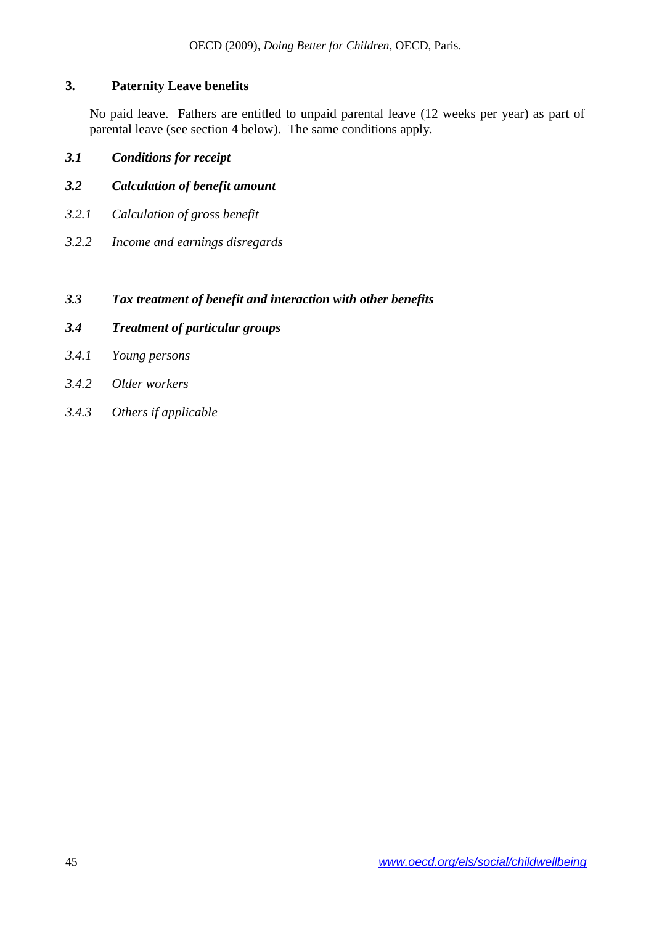# **3. Paternity Leave benefits**

No paid leave. Fathers are entitled to unpaid parental leave (12 weeks per year) as part of parental leave (see section 4 below). The same conditions apply.

# *3.1 Conditions for receipt*

- *3.2 Calculation of benefit amount*
- *3.2.1 Calculation of gross benefit*
- *3.2.2 Income and earnings disregards*

### *3.3 Tax treatment of benefit and interaction with other benefits*

- *3.4 Treatment of particular groups*
- *3.4.1 Young persons*
- *3.4.2 Older workers*
- *3.4.3 Others if applicable*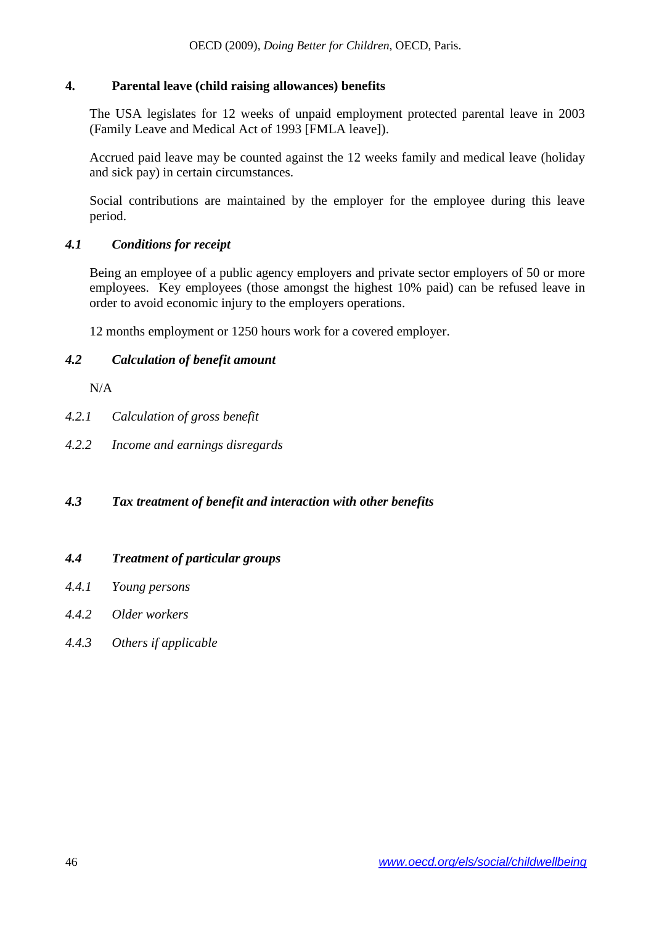### **4. Parental leave (child raising allowances) benefits**

The USA legislates for 12 weeks of unpaid employment protected parental leave in 2003 (Family Leave and Medical Act of 1993 [FMLA leave]).

Accrued paid leave may be counted against the 12 weeks family and medical leave (holiday and sick pay) in certain circumstances.

Social contributions are maintained by the employer for the employee during this leave period.

# *4.1 Conditions for receipt*

Being an employee of a public agency employers and private sector employers of 50 or more employees. Key employees (those amongst the highest 10% paid) can be refused leave in order to avoid economic injury to the employers operations.

12 months employment or 1250 hours work for a covered employer.

# *4.2 Calculation of benefit amount*

N/A

- *4.2.1 Calculation of gross benefit*
- *4.2.2 Income and earnings disregards*

# *4.3 Tax treatment of benefit and interaction with other benefits*

### *4.4 Treatment of particular groups*

- *4.4.1 Young persons*
- *4.4.2 Older workers*
- *4.4.3 Others if applicable*